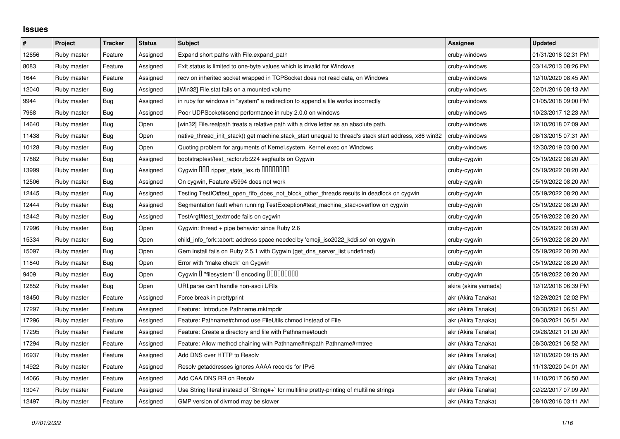## **Issues**

| $\#$  | Project     | <b>Tracker</b> | <b>Status</b> | <b>Subject</b>                                                                                        | <b>Assignee</b>      | <b>Updated</b>      |
|-------|-------------|----------------|---------------|-------------------------------------------------------------------------------------------------------|----------------------|---------------------|
| 12656 | Ruby master | Feature        | Assigned      | Expand short paths with File.expand_path                                                              | cruby-windows        | 01/31/2018 02:31 PM |
| 8083  | Ruby master | Feature        | Assigned      | Exit status is limited to one-byte values which is invalid for Windows                                | cruby-windows        | 03/14/2013 08:26 PM |
| 1644  | Ruby master | Feature        | Assigned      | recv on inherited socket wrapped in TCPSocket does not read data, on Windows                          | cruby-windows        | 12/10/2020 08:45 AM |
| 12040 | Ruby master | <b>Bug</b>     | Assigned      | [Win32] File.stat fails on a mounted volume                                                           | cruby-windows        | 02/01/2016 08:13 AM |
| 9944  | Ruby master | Bug            | Assigned      | in ruby for windows in "system" a redirection to append a file works incorrectly                      | cruby-windows        | 01/05/2018 09:00 PM |
| 7968  | Ruby master | Bug            | Assigned      | Poor UDPSocket#send performance in ruby 2.0.0 on windows                                              | cruby-windows        | 10/23/2017 12:23 AM |
| 14640 | Ruby master | Bug            | Open          | [win32] File.realpath treats a relative path with a drive letter as an absolute path.                 | cruby-windows        | 12/10/2018 07:09 AM |
| 11438 | Ruby master | Bug            | Open          | native_thread_init_stack() get machine.stack_start unequal to thread's stack start address, x86 win32 | cruby-windows        | 08/13/2015 07:31 AM |
| 10128 | Ruby master | <b>Bug</b>     | Open          | Quoting problem for arguments of Kernel.system, Kernel.exec on Windows                                | cruby-windows        | 12/30/2019 03:00 AM |
| 17882 | Ruby master | Bug            | Assigned      | bootstraptest/test_ractor.rb:224 segfaults on Cygwin                                                  | cruby-cygwin         | 05/19/2022 08:20 AM |
| 13999 | Ruby master | Bug            | Assigned      | Cygwin 000 ripper_state_lex.rb 0000000                                                                | cruby-cygwin         | 05/19/2022 08:20 AM |
| 12506 | Ruby master | <b>Bug</b>     | Assigned      | On cygwin, Feature #5994 does not work                                                                | cruby-cygwin         | 05/19/2022 08:20 AM |
| 12445 | Ruby master | Bug            | Assigned      | Testing TestIO#test open fifo does not block other threads results in deadlock on cygwin              | cruby-cygwin         | 05/19/2022 08:20 AM |
| 12444 | Ruby master | <b>Bug</b>     | Assigned      | Segmentation fault when running TestException#test_machine_stackoverflow on cygwin                    | cruby-cygwin         | 05/19/2022 08:20 AM |
| 12442 | Ruby master | <b>Bug</b>     | Assigned      | TestArgf#test_textmode fails on cygwin                                                                | cruby-cygwin         | 05/19/2022 08:20 AM |
| 17996 | Ruby master | Bug            | Open          | Cygwin: thread + pipe behavior since Ruby 2.6                                                         | cruby-cygwin         | 05/19/2022 08:20 AM |
| 15334 | Ruby master | <b>Bug</b>     | Open          | child_info_fork::abort: address space needed by 'emoji_iso2022_kddi.so' on cygwin                     | cruby-cygwin         | 05/19/2022 08:20 AM |
| 15097 | Ruby master | <b>Bug</b>     | Open          | Gem install fails on Ruby 2.5.1 with Cygwin (get_dns_server_list undefined)                           | cruby-cygwin         | 05/19/2022 08:20 AM |
| 11840 | Ruby master | Bug            | Open          | Error with "make check" on Cygwin                                                                     | cruby-cygwin         | 05/19/2022 08:20 AM |
| 9409  | Ruby master | Bug            | Open          | Cygwin I "filesystem" I encoding IIIIIIIIIIII                                                         | cruby-cygwin         | 05/19/2022 08:20 AM |
| 12852 | Ruby master | <b>Bug</b>     | Open          | URI.parse can't handle non-ascii URIs                                                                 | akira (akira yamada) | 12/12/2016 06:39 PM |
| 18450 | Ruby master | Feature        | Assigned      | Force break in prettyprint                                                                            | akr (Akira Tanaka)   | 12/29/2021 02:02 PM |
| 17297 | Ruby master | Feature        | Assigned      | Feature: Introduce Pathname.mktmpdir                                                                  | akr (Akira Tanaka)   | 08/30/2021 06:51 AM |
| 17296 | Ruby master | Feature        | Assigned      | Feature: Pathname#chmod use FileUtils.chmod instead of File                                           | akr (Akira Tanaka)   | 08/30/2021 06:51 AM |
| 17295 | Ruby master | Feature        | Assigned      | Feature: Create a directory and file with Pathname#touch                                              | akr (Akira Tanaka)   | 09/28/2021 01:20 AM |
| 17294 | Ruby master | Feature        | Assigned      | Feature: Allow method chaining with Pathname#mkpath Pathname#rmtree                                   | akr (Akira Tanaka)   | 08/30/2021 06:52 AM |
| 16937 | Ruby master | Feature        | Assigned      | Add DNS over HTTP to Resolv                                                                           | akr (Akira Tanaka)   | 12/10/2020 09:15 AM |
| 14922 | Ruby master | Feature        | Assigned      | Resolv getaddresses ignores AAAA records for IPv6                                                     | akr (Akira Tanaka)   | 11/13/2020 04:01 AM |
| 14066 | Ruby master | Feature        | Assigned      | Add CAA DNS RR on Resolv                                                                              | akr (Akira Tanaka)   | 11/10/2017 06:50 AM |
| 13047 | Ruby master | Feature        | Assigned      | Use String literal instead of `String#+` for multiline pretty-printing of multiline strings           | akr (Akira Tanaka)   | 02/22/2017 07:09 AM |
| 12497 | Ruby master | Feature        | Assigned      | GMP version of divmod may be slower                                                                   | akr (Akira Tanaka)   | 08/10/2016 03:11 AM |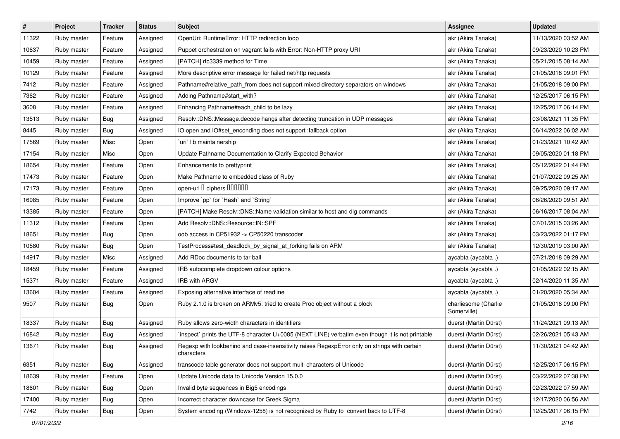| $\pmb{\#}$ | Project     | <b>Tracker</b> | <b>Status</b> | <b>Subject</b>                                                                                              | <b>Assignee</b>                     | <b>Updated</b>      |
|------------|-------------|----------------|---------------|-------------------------------------------------------------------------------------------------------------|-------------------------------------|---------------------|
| 11322      | Ruby master | Feature        | Assigned      | OpenUri: RuntimeError: HTTP redirection loop                                                                | akr (Akira Tanaka)                  | 11/13/2020 03:52 AM |
| 10637      | Ruby master | Feature        | Assigned      | Puppet orchestration on vagrant fails with Error: Non-HTTP proxy URI                                        | akr (Akira Tanaka)                  | 09/23/2020 10:23 PM |
| 10459      | Ruby master | Feature        | Assigned      | [PATCH] rfc3339 method for Time                                                                             | akr (Akira Tanaka)                  | 05/21/2015 08:14 AM |
| 10129      | Ruby master | Feature        | Assigned      | More descriptive error message for failed net/http requests                                                 | akr (Akira Tanaka)                  | 01/05/2018 09:01 PM |
| 7412       | Ruby master | Feature        | Assigned      | Pathname#relative_path_from does not support mixed directory separators on windows                          | akr (Akira Tanaka)                  | 01/05/2018 09:00 PM |
| 7362       | Ruby master | Feature        | Assigned      | Adding Pathname#start_with?                                                                                 | akr (Akira Tanaka)                  | 12/25/2017 06:15 PM |
| 3608       | Ruby master | Feature        | Assigned      | Enhancing Pathname#each_child to be lazy                                                                    | akr (Akira Tanaka)                  | 12/25/2017 06:14 PM |
| 13513      | Ruby master | <b>Bug</b>     | Assigned      | Resolv::DNS::Message.decode hangs after detecting truncation in UDP messages                                | akr (Akira Tanaka)                  | 03/08/2021 11:35 PM |
| 8445       | Ruby master | <b>Bug</b>     | Assigned      | IO.open and IO#set_enconding does not support :fallback option                                              | akr (Akira Tanaka)                  | 06/14/2022 06:02 AM |
| 17569      | Ruby master | Misc           | Open          | `uri` lib maintainership                                                                                    | akr (Akira Tanaka)                  | 01/23/2021 10:42 AM |
| 17154      | Ruby master | Misc           | Open          | Update Pathname Documentation to Clarify Expected Behavior                                                  | akr (Akira Tanaka)                  | 09/05/2020 01:18 PM |
| 18654      | Ruby master | Feature        | Open          | Enhancements to prettyprint                                                                                 | akr (Akira Tanaka)                  | 05/12/2022 01:44 PM |
| 17473      | Ruby master | Feature        | Open          | Make Pathname to embedded class of Ruby                                                                     | akr (Akira Tanaka)                  | 01/07/2022 09:25 AM |
| 17173      | Ruby master | Feature        | Open          | open-uri I ciphers IIIIIII                                                                                  | akr (Akira Tanaka)                  | 09/25/2020 09:17 AM |
| 16985      | Ruby master | Feature        | Open          | Improve `pp` for `Hash` and `String`                                                                        | akr (Akira Tanaka)                  | 06/26/2020 09:51 AM |
| 13385      | Ruby master | Feature        | Open          | [PATCH] Make Resolv::DNS::Name validation similar to host and dig commands                                  | akr (Akira Tanaka)                  | 06/16/2017 08:04 AM |
| 11312      | Ruby master | Feature        | Open          | Add Resolv::DNS::Resource::IN::SPF                                                                          | akr (Akira Tanaka)                  | 07/01/2015 03:26 AM |
| 18651      | Ruby master | <b>Bug</b>     | Open          | oob access in CP51932 -> CP50220 transcoder                                                                 | akr (Akira Tanaka)                  | 03/23/2022 01:17 PM |
| 10580      | Ruby master | Bug            | Open          | TestProcess#test_deadlock_by_signal_at_forking fails on ARM                                                 | akr (Akira Tanaka)                  | 12/30/2019 03:00 AM |
| 14917      | Ruby master | Misc           | Assigned      | Add RDoc documents to tar ball                                                                              | aycabta (aycabta .)                 | 07/21/2018 09:29 AM |
| 18459      | Ruby master | Feature        | Assigned      | IRB autocomplete dropdown colour options                                                                    | aycabta (aycabta .)                 | 01/05/2022 02:15 AM |
| 15371      | Ruby master | Feature        | Assigned      | <b>IRB with ARGV</b>                                                                                        | aycabta (aycabta .)                 | 02/14/2020 11:35 AM |
| 13604      | Ruby master | Feature        | Assigned      | Exposing alternative interface of readline                                                                  | aycabta (aycabta .)                 | 01/20/2020 05:34 AM |
| 9507       | Ruby master | Bug            | Open          | Ruby 2.1.0 is broken on ARMv5: tried to create Proc object without a block                                  | charliesome (Charlie<br>Somerville) | 01/05/2018 09:00 PM |
| 18337      | Ruby master | <b>Bug</b>     | Assigned      | Ruby allows zero-width characters in identifiers                                                            | duerst (Martin Dürst)               | 11/24/2021 09:13 AM |
| 16842      | Ruby master | <b>Bug</b>     | Assigned      | inspect` prints the UTF-8 character U+0085 (NEXT LINE) verbatim even though it is not printable             | duerst (Martin Dürst)               | 02/26/2021 05:43 AM |
| 13671      | Ruby master | <b>Bug</b>     | Assigned      | Regexp with lookbehind and case-insensitivity raises RegexpError only on strings with certain<br>characters | duerst (Martin Dürst)               | 11/30/2021 04:42 AM |
| 6351       | Ruby master | <b>Bug</b>     | Assigned      | transcode table generator does not support multi characters of Unicode                                      | duerst (Martin Dürst)               | 12/25/2017 06:15 PM |
| 18639      | Ruby master | Feature        | Open          | Update Unicode data to Unicode Version 15.0.0                                                               | duerst (Martin Dürst)               | 03/22/2022 07:38 PM |
| 18601      | Ruby master | <b>Bug</b>     | Open          | Invalid byte sequences in Big5 encodings                                                                    | duerst (Martin Dürst)               | 02/23/2022 07:59 AM |
| 17400      | Ruby master | Bug            | Open          | Incorrect character downcase for Greek Sigma                                                                | duerst (Martin Dürst)               | 12/17/2020 06:56 AM |
| 7742       | Ruby master | <b>Bug</b>     | Open          | System encoding (Windows-1258) is not recognized by Ruby to convert back to UTF-8                           | duerst (Martin Dürst)               | 12/25/2017 06:15 PM |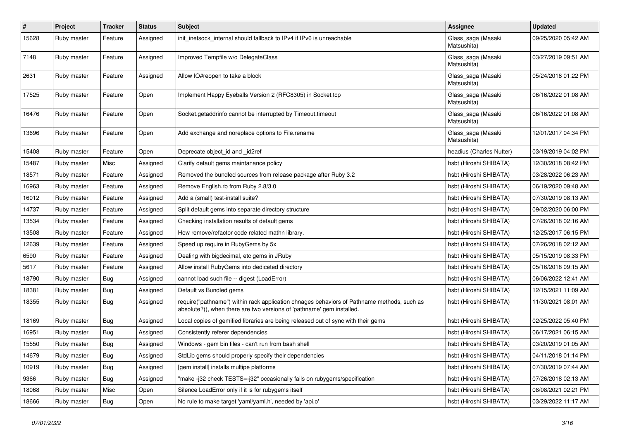| #     | Project     | <b>Tracker</b> | <b>Status</b> | <b>Subject</b>                                                                                                                                                      | Assignee                          | <b>Updated</b>      |
|-------|-------------|----------------|---------------|---------------------------------------------------------------------------------------------------------------------------------------------------------------------|-----------------------------------|---------------------|
| 15628 | Ruby master | Feature        | Assigned      | init inetsock internal should fallback to IPv4 if IPv6 is unreachable                                                                                               | Glass_saga (Masaki<br>Matsushita) | 09/25/2020 05:42 AM |
| 7148  | Ruby master | Feature        | Assigned      | Improved Tempfile w/o DelegateClass                                                                                                                                 | Glass_saga (Masaki<br>Matsushita) | 03/27/2019 09:51 AM |
| 2631  | Ruby master | Feature        | Assigned      | Allow IO#reopen to take a block                                                                                                                                     | Glass_saga (Masaki<br>Matsushita) | 05/24/2018 01:22 PM |
| 17525 | Ruby master | Feature        | Open          | Implement Happy Eyeballs Version 2 (RFC8305) in Socket.tcp                                                                                                          | Glass_saga (Masaki<br>Matsushita) | 06/16/2022 01:08 AM |
| 16476 | Ruby master | Feature        | Open          | Socket.getaddrinfo cannot be interrupted by Timeout.timeout                                                                                                         | Glass_saga (Masaki<br>Matsushita) | 06/16/2022 01:08 AM |
| 13696 | Ruby master | Feature        | Open          | Add exchange and noreplace options to File.rename                                                                                                                   | Glass_saga (Masaki<br>Matsushita) | 12/01/2017 04:34 PM |
| 15408 | Ruby master | Feature        | Open          | Deprecate object_id and _id2ref                                                                                                                                     | headius (Charles Nutter)          | 03/19/2019 04:02 PM |
| 15487 | Ruby master | Misc           | Assigned      | Clarify default gems maintanance policy                                                                                                                             | hsbt (Hiroshi SHIBATA)            | 12/30/2018 08:42 PM |
| 18571 | Ruby master | Feature        | Assigned      | Removed the bundled sources from release package after Ruby 3.2                                                                                                     | hsbt (Hiroshi SHIBATA)            | 03/28/2022 06:23 AM |
| 16963 | Ruby master | Feature        | Assigned      | Remove English.rb from Ruby 2.8/3.0                                                                                                                                 | hsbt (Hiroshi SHIBATA)            | 06/19/2020 09:48 AM |
| 16012 | Ruby master | Feature        | Assigned      | Add a (small) test-install suite?                                                                                                                                   | hsbt (Hiroshi SHIBATA)            | 07/30/2019 08:13 AM |
| 14737 | Ruby master | Feature        | Assigned      | Split default gems into separate directory structure                                                                                                                | hsbt (Hiroshi SHIBATA)            | 09/02/2020 06:00 PM |
| 13534 | Ruby master | Feature        | Assigned      | Checking installation results of default gems                                                                                                                       | hsbt (Hiroshi SHIBATA)            | 07/26/2018 02:16 AM |
| 13508 | Ruby master | Feature        | Assigned      | How remove/refactor code related mathn library.                                                                                                                     | hsbt (Hiroshi SHIBATA)            | 12/25/2017 06:15 PM |
| 12639 | Ruby master | Feature        | Assigned      | Speed up require in RubyGems by 5x                                                                                                                                  | hsbt (Hiroshi SHIBATA)            | 07/26/2018 02:12 AM |
| 6590  | Ruby master | Feature        | Assigned      | Dealing with bigdecimal, etc gems in JRuby                                                                                                                          | hsbt (Hiroshi SHIBATA)            | 05/15/2019 08:33 PM |
| 5617  | Ruby master | Feature        | Assigned      | Allow install RubyGems into dediceted directory                                                                                                                     | hsbt (Hiroshi SHIBATA)            | 05/16/2018 09:15 AM |
| 18790 | Ruby master | Bug            | Assigned      | cannot load such file -- digest (LoadError)                                                                                                                         | hsbt (Hiroshi SHIBATA)            | 06/06/2022 12:41 AM |
| 18381 | Ruby master | Bug            | Assigned      | Default vs Bundled gems                                                                                                                                             | hsbt (Hiroshi SHIBATA)            | 12/15/2021 11:09 AM |
| 18355 | Ruby master | <b>Bug</b>     | Assigned      | require("pathname") within rack application chnages behaviors of Pathname methods, such as<br>absolute?(), when there are two versions of 'pathname' gem installed. | hsbt (Hiroshi SHIBATA)            | 11/30/2021 08:01 AM |
| 18169 | Ruby master | Bug            | Assigned      | Local copies of gemified libraries are being released out of sync with their gems                                                                                   | hsbt (Hiroshi SHIBATA)            | 02/25/2022 05:40 PM |
| 16951 | Ruby master | Bug            | Assigned      | Consistently referer dependencies                                                                                                                                   | hsbt (Hiroshi SHIBATA)            | 06/17/2021 06:15 AM |
| 15550 | Ruby master | Bug            | Assigned      | Windows - gem bin files - can't run from bash shell                                                                                                                 | hsbt (Hiroshi SHIBATA)            | 03/20/2019 01:05 AM |
| 14679 | Ruby master | <b>Bug</b>     | Assigned      | StdLib gems should properly specify their dependencies                                                                                                              | hsbt (Hiroshi SHIBATA)            | 04/11/2018 01:14 PM |
| 10919 | Ruby master | <b>Bug</b>     | Assigned      | [gem install] installs multipe platforms                                                                                                                            | hsbt (Hiroshi SHIBATA)            | 07/30/2019 07:44 AM |
| 9366  | Ruby master | <b>Bug</b>     | Assigned      | "make -j32 check TESTS=-j32" occasionally fails on rubygems/specification                                                                                           | hsbt (Hiroshi SHIBATA)            | 07/26/2018 02:13 AM |
| 18068 | Ruby master | Misc           | Open          | Silence LoadError only if it is for rubygems itself                                                                                                                 | hsbt (Hiroshi SHIBATA)            | 08/08/2021 02:21 PM |
| 18666 | Ruby master | <b>Bug</b>     | Open          | No rule to make target 'yaml/yaml.h', needed by 'api.o'                                                                                                             | hsbt (Hiroshi SHIBATA)            | 03/29/2022 11:17 AM |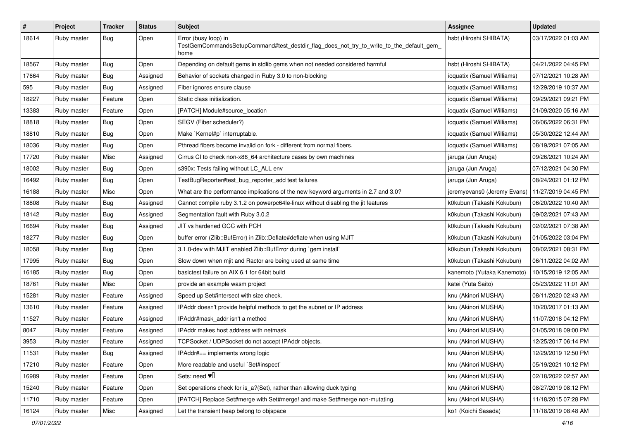| $\pmb{\#}$ | Project     | <b>Tracker</b> | <b>Status</b> | <b>Subject</b>                                                                                                          | <b>Assignee</b>             | <b>Updated</b>      |
|------------|-------------|----------------|---------------|-------------------------------------------------------------------------------------------------------------------------|-----------------------------|---------------------|
| 18614      | Ruby master | Bug            | Open          | Error (busy loop) in<br>TestGemCommandsSetupCommand#test_destdir_flag_does_not_try_to_write_to_the_default_gem_<br>home | hsbt (Hiroshi SHIBATA)      | 03/17/2022 01:03 AM |
| 18567      | Ruby master | <b>Bug</b>     | Open          | Depending on default gems in stdlib gems when not needed considered harmful                                             | hsbt (Hiroshi SHIBATA)      | 04/21/2022 04:45 PM |
| 17664      | Ruby master | <b>Bug</b>     | Assigned      | Behavior of sockets changed in Ruby 3.0 to non-blocking                                                                 | ioquatix (Samuel Williams)  | 07/12/2021 10:28 AM |
| 595        | Ruby master | Bug            | Assigned      | Fiber ignores ensure clause                                                                                             | ioquatix (Samuel Williams)  | 12/29/2019 10:37 AM |
| 18227      | Ruby master | Feature        | Open          | Static class initialization.                                                                                            | ioquatix (Samuel Williams)  | 09/29/2021 09:21 PM |
| 13383      | Ruby master | Feature        | Open          | [PATCH] Module#source_location                                                                                          | ioquatix (Samuel Williams)  | 01/09/2020 05:16 AM |
| 18818      | Ruby master | <b>Bug</b>     | Open          | SEGV (Fiber scheduler?)                                                                                                 | ioquatix (Samuel Williams)  | 06/06/2022 06:31 PM |
| 18810      | Ruby master | <b>Bug</b>     | Open          | Make `Kernel#p` interruptable.                                                                                          | ioquatix (Samuel Williams)  | 05/30/2022 12:44 AM |
| 18036      | Ruby master | Bug            | Open          | Pthread fibers become invalid on fork - different from normal fibers.                                                   | ioquatix (Samuel Williams)  | 08/19/2021 07:05 AM |
| 17720      | Ruby master | Misc           | Assigned      | Cirrus CI to check non-x86_64 architecture cases by own machines                                                        | jaruga (Jun Aruga)          | 09/26/2021 10:24 AM |
| 18002      | Ruby master | <b>Bug</b>     | Open          | s390x: Tests failing without LC_ALL env                                                                                 | jaruga (Jun Aruga)          | 07/12/2021 04:30 PM |
| 16492      | Ruby master | <b>Bug</b>     | Open          | TestBugReporter#test_bug_reporter_add test failures                                                                     | jaruga (Jun Aruga)          | 08/24/2021 01:12 PM |
| 16188      | Ruby master | Misc           | Open          | What are the performance implications of the new keyword arguments in 2.7 and 3.0?                                      | jeremyevans0 (Jeremy Evans) | 11/27/2019 04:45 PM |
| 18808      | Ruby master | Bug            | Assigned      | Cannot compile ruby 3.1.2 on powerpc64le-linux without disabling the jit features                                       | k0kubun (Takashi Kokubun)   | 06/20/2022 10:40 AM |
| 18142      | Ruby master | <b>Bug</b>     | Assigned      | Segmentation fault with Ruby 3.0.2                                                                                      | k0kubun (Takashi Kokubun)   | 09/02/2021 07:43 AM |
| 16694      | Ruby master | <b>Bug</b>     | Assigned      | JIT vs hardened GCC with PCH                                                                                            | k0kubun (Takashi Kokubun)   | 02/02/2021 07:38 AM |
| 18277      | Ruby master | <b>Bug</b>     | Open          | buffer error (Zlib::BufError) in Zlib::Deflate#deflate when using MJIT                                                  | k0kubun (Takashi Kokubun)   | 01/05/2022 03:04 PM |
| 18058      | Ruby master | <b>Bug</b>     | Open          | 3.1.0-dev with MJIT enabled Zlib::BufError during `gem install`                                                         | k0kubun (Takashi Kokubun)   | 08/02/2021 08:31 PM |
| 17995      | Ruby master | <b>Bug</b>     | Open          | Slow down when mjit and Ractor are being used at same time                                                              | k0kubun (Takashi Kokubun)   | 06/11/2022 04:02 AM |
| 16185      | Ruby master | <b>Bug</b>     | Open          | basictest failure on AIX 6.1 for 64bit build                                                                            | kanemoto (Yutaka Kanemoto)  | 10/15/2019 12:05 AM |
| 18761      | Ruby master | Misc           | Open          | provide an example wasm project                                                                                         | katei (Yuta Saito)          | 05/23/2022 11:01 AM |
| 15281      | Ruby master | Feature        | Assigned      | Speed up Set#intersect with size check.                                                                                 | knu (Akinori MUSHA)         | 08/11/2020 02:43 AM |
| 13610      | Ruby master | Feature        | Assigned      | IPAddr doesn't provide helpful methods to get the subnet or IP address                                                  | knu (Akinori MUSHA)         | 10/20/2017 01:13 AM |
| 11527      | Ruby master | Feature        | Assigned      | IPAddr#mask_addr isn't a method                                                                                         | knu (Akinori MUSHA)         | 11/07/2018 04:12 PM |
| 8047       | Ruby master | Feature        | Assigned      | IPAddr makes host address with netmask                                                                                  | knu (Akinori MUSHA)         | 01/05/2018 09:00 PM |
| 3953       | Ruby master | Feature        | Assigned      | TCPSocket / UDPSocket do not accept IPAddr objects.                                                                     | knu (Akinori MUSHA)         | 12/25/2017 06:14 PM |
| 11531      | Ruby master | <b>Bug</b>     | Assigned      | IPAddr#== implements wrong logic                                                                                        | knu (Akinori MUSHA)         | 12/29/2019 12:50 PM |
| 17210      | Ruby master | Feature        | Open          | More readable and useful `Set#inspect`                                                                                  | knu (Akinori MUSHA)         | 05/19/2021 10:12 PM |
| 16989      | Ruby master | Feature        | Open          | Sets: need $\Psi$ <sup>[]</sup>                                                                                         | knu (Akinori MUSHA)         | 02/18/2022 02:57 AM |
| 15240      | Ruby master | Feature        | Open          | Set operations check for is_a?(Set), rather than allowing duck typing                                                   | knu (Akinori MUSHA)         | 08/27/2019 08:12 PM |
| 11710      | Ruby master | Feature        | Open          | [PATCH] Replace Set#merge with Set#merge! and make Set#merge non-mutating.                                              | knu (Akinori MUSHA)         | 11/18/2015 07:28 PM |
| 16124      | Ruby master | Misc           | Assigned      | Let the transient heap belong to objspace                                                                               | ko1 (Koichi Sasada)         | 11/18/2019 08:48 AM |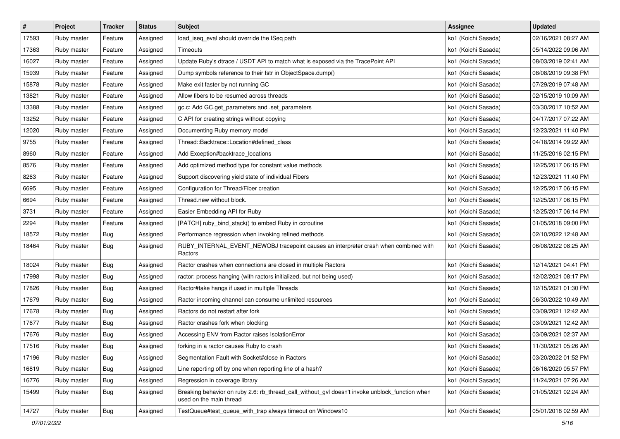| $\pmb{\#}$ | Project     | <b>Tracker</b> | <b>Status</b> | Subject                                                                                                                   | <b>Assignee</b>     | <b>Updated</b>      |
|------------|-------------|----------------|---------------|---------------------------------------------------------------------------------------------------------------------------|---------------------|---------------------|
| 17593      | Ruby master | Feature        | Assigned      | load iseg eval should override the ISeg path                                                                              | ko1 (Koichi Sasada) | 02/16/2021 08:27 AM |
| 17363      | Ruby master | Feature        | Assigned      | Timeouts                                                                                                                  | ko1 (Koichi Sasada) | 05/14/2022 09:06 AM |
| 16027      | Ruby master | Feature        | Assigned      | Update Ruby's dtrace / USDT API to match what is exposed via the TracePoint API                                           | ko1 (Koichi Sasada) | 08/03/2019 02:41 AM |
| 15939      | Ruby master | Feature        | Assigned      | Dump symbols reference to their fstr in ObjectSpace.dump()                                                                | ko1 (Koichi Sasada) | 08/08/2019 09:38 PM |
| 15878      | Ruby master | Feature        | Assigned      | Make exit faster by not running GC                                                                                        | ko1 (Koichi Sasada) | 07/29/2019 07:48 AM |
| 13821      | Ruby master | Feature        | Assigned      | Allow fibers to be resumed across threads                                                                                 | ko1 (Koichi Sasada) | 02/15/2019 10:09 AM |
| 13388      | Ruby master | Feature        | Assigned      | gc.c: Add GC.get_parameters and .set_parameters                                                                           | ko1 (Koichi Sasada) | 03/30/2017 10:52 AM |
| 13252      | Ruby master | Feature        | Assigned      | C API for creating strings without copying                                                                                | ko1 (Koichi Sasada) | 04/17/2017 07:22 AM |
| 12020      | Ruby master | Feature        | Assigned      | Documenting Ruby memory model                                                                                             | ko1 (Koichi Sasada) | 12/23/2021 11:40 PM |
| 9755       | Ruby master | Feature        | Assigned      | Thread::Backtrace::Location#defined_class                                                                                 | ko1 (Koichi Sasada) | 04/18/2014 09:22 AM |
| 8960       | Ruby master | Feature        | Assigned      | Add Exception#backtrace_locations                                                                                         | ko1 (Koichi Sasada) | 11/25/2016 02:15 PM |
| 8576       | Ruby master | Feature        | Assigned      | Add optimized method type for constant value methods                                                                      | ko1 (Koichi Sasada) | 12/25/2017 06:15 PM |
| 8263       | Ruby master | Feature        | Assigned      | Support discovering yield state of individual Fibers                                                                      | ko1 (Koichi Sasada) | 12/23/2021 11:40 PM |
| 6695       | Ruby master | Feature        | Assigned      | Configuration for Thread/Fiber creation                                                                                   | ko1 (Koichi Sasada) | 12/25/2017 06:15 PM |
| 6694       | Ruby master | Feature        | Assigned      | Thread.new without block.                                                                                                 | ko1 (Koichi Sasada) | 12/25/2017 06:15 PM |
| 3731       | Ruby master | Feature        | Assigned      | Easier Embedding API for Ruby                                                                                             | ko1 (Koichi Sasada) | 12/25/2017 06:14 PM |
| 2294       | Ruby master | Feature        | Assigned      | [PATCH] ruby_bind_stack() to embed Ruby in coroutine                                                                      | ko1 (Koichi Sasada) | 01/05/2018 09:00 PM |
| 18572      | Ruby master | <b>Bug</b>     | Assigned      | Performance regression when invoking refined methods                                                                      | ko1 (Koichi Sasada) | 02/10/2022 12:48 AM |
| 18464      | Ruby master | Bug            | Assigned      | RUBY_INTERNAL_EVENT_NEWOBJ tracepoint causes an interpreter crash when combined with<br>Ractors                           | ko1 (Koichi Sasada) | 06/08/2022 08:25 AM |
| 18024      | Ruby master | <b>Bug</b>     | Assigned      | Ractor crashes when connections are closed in multiple Ractors                                                            | ko1 (Koichi Sasada) | 12/14/2021 04:41 PM |
| 17998      | Ruby master | <b>Bug</b>     | Assigned      | ractor: process hanging (with ractors initialized, but not being used)                                                    | ko1 (Koichi Sasada) | 12/02/2021 08:17 PM |
| 17826      | Ruby master | <b>Bug</b>     | Assigned      | Ractor#take hangs if used in multiple Threads                                                                             | ko1 (Koichi Sasada) | 12/15/2021 01:30 PM |
| 17679      | Ruby master | Bug            | Assigned      | Ractor incoming channel can consume unlimited resources                                                                   | ko1 (Koichi Sasada) | 06/30/2022 10:49 AM |
| 17678      | Ruby master | <b>Bug</b>     | Assigned      | Ractors do not restart after fork                                                                                         | ko1 (Koichi Sasada) | 03/09/2021 12:42 AM |
| 17677      | Ruby master | <b>Bug</b>     | Assigned      | Ractor crashes fork when blocking                                                                                         | ko1 (Koichi Sasada) | 03/09/2021 12:42 AM |
| 17676      | Ruby master | <b>Bug</b>     | Assigned      | Accessing ENV from Ractor raises IsolationError                                                                           | ko1 (Koichi Sasada) | 03/09/2021 02:37 AM |
| 17516      | Ruby master | <b>Bug</b>     | Assigned      | forking in a ractor causes Ruby to crash                                                                                  | ko1 (Koichi Sasada) | 11/30/2021 05:26 AM |
| 17196      | Ruby master | <b>Bug</b>     | Assigned      | Segmentation Fault with Socket#close in Ractors                                                                           | ko1 (Koichi Sasada) | 03/20/2022 01:52 PM |
| 16819      | Ruby master | Bug            | Assigned      | Line reporting off by one when reporting line of a hash?                                                                  | ko1 (Koichi Sasada) | 06/16/2020 05:57 PM |
| 16776      | Ruby master | <b>Bug</b>     | Assigned      | Regression in coverage library                                                                                            | ko1 (Koichi Sasada) | 11/24/2021 07:26 AM |
| 15499      | Ruby master | Bug            | Assigned      | Breaking behavior on ruby 2.6: rb_thread_call_without_gvl doesn't invoke unblock_function when<br>used on the main thread | ko1 (Koichi Sasada) | 01/05/2021 02:24 AM |
| 14727      | Ruby master | <b>Bug</b>     | Assigned      | TestQueue#test_queue_with_trap always timeout on Windows10                                                                | ko1 (Koichi Sasada) | 05/01/2018 02:59 AM |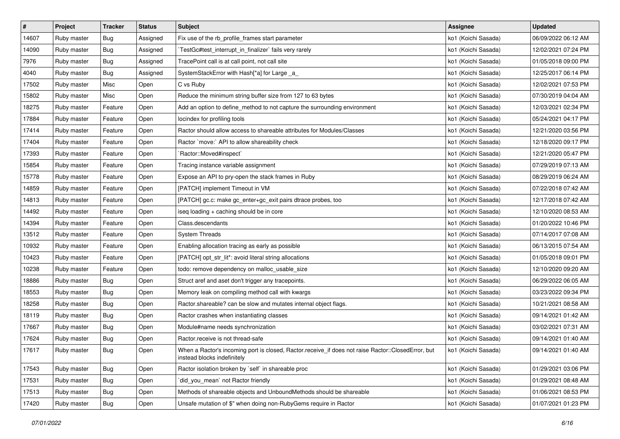| $\vert$ # | Project     | <b>Tracker</b> | <b>Status</b> | <b>Subject</b>                                                                                                                    | <b>Assignee</b>     | <b>Updated</b>      |
|-----------|-------------|----------------|---------------|-----------------------------------------------------------------------------------------------------------------------------------|---------------------|---------------------|
| 14607     | Ruby master | <b>Bug</b>     | Assigned      | Fix use of the rb_profile_frames start parameter                                                                                  | ko1 (Koichi Sasada) | 06/09/2022 06:12 AM |
| 14090     | Ruby master | Bug            | Assigned      | TestGc#test_interrupt_in_finalizer` fails very rarely                                                                             | ko1 (Koichi Sasada) | 12/02/2021 07:24 PM |
| 7976      | Ruby master | <b>Bug</b>     | Assigned      | TracePoint call is at call point, not call site                                                                                   | ko1 (Koichi Sasada) | 01/05/2018 09:00 PM |
| 4040      | Ruby master | <b>Bug</b>     | Assigned      | SystemStackError with Hash[*a] for Large _a_                                                                                      | ko1 (Koichi Sasada) | 12/25/2017 06:14 PM |
| 17502     | Ruby master | Misc           | Open          | C vs Ruby                                                                                                                         | ko1 (Koichi Sasada) | 12/02/2021 07:53 PM |
| 15802     | Ruby master | Misc           | Open          | Reduce the minimum string buffer size from 127 to 63 bytes                                                                        | ko1 (Koichi Sasada) | 07/30/2019 04:04 AM |
| 18275     | Ruby master | Feature        | Open          | Add an option to define_method to not capture the surrounding environment                                                         | ko1 (Koichi Sasada) | 12/03/2021 02:34 PM |
| 17884     | Ruby master | Feature        | Open          | locindex for profiling tools                                                                                                      | ko1 (Koichi Sasada) | 05/24/2021 04:17 PM |
| 17414     | Ruby master | Feature        | Open          | Ractor should allow access to shareable attributes for Modules/Classes                                                            | ko1 (Koichi Sasada) | 12/21/2020 03:56 PM |
| 17404     | Ruby master | Feature        | Open          | Ractor `move:` API to allow shareability check                                                                                    | ko1 (Koichi Sasada) | 12/18/2020 09:17 PM |
| 17393     | Ruby master | Feature        | Open          | `Ractor::Moved#inspect`                                                                                                           | ko1 (Koichi Sasada) | 12/21/2020 05:47 PM |
| 15854     | Ruby master | Feature        | Open          | Tracing instance variable assignment                                                                                              | ko1 (Koichi Sasada) | 07/29/2019 07:13 AM |
| 15778     | Ruby master | Feature        | Open          | Expose an API to pry-open the stack frames in Ruby                                                                                | ko1 (Koichi Sasada) | 08/29/2019 06:24 AM |
| 14859     | Ruby master | Feature        | Open          | [PATCH] implement Timeout in VM                                                                                                   | ko1 (Koichi Sasada) | 07/22/2018 07:42 AM |
| 14813     | Ruby master | Feature        | Open          | [PATCH] gc.c: make gc_enter+gc_exit pairs dtrace probes, too                                                                      | ko1 (Koichi Sasada) | 12/17/2018 07:42 AM |
| 14492     | Ruby master | Feature        | Open          | iseq loading + caching should be in core                                                                                          | ko1 (Koichi Sasada) | 12/10/2020 08:53 AM |
| 14394     | Ruby master | Feature        | Open          | Class.descendants                                                                                                                 | ko1 (Koichi Sasada) | 01/20/2022 10:46 PM |
| 13512     | Ruby master | Feature        | Open          | <b>System Threads</b>                                                                                                             | ko1 (Koichi Sasada) | 07/14/2017 07:08 AM |
| 10932     | Ruby master | Feature        | Open          | Enabling allocation tracing as early as possible                                                                                  | ko1 (Koichi Sasada) | 06/13/2015 07:54 AM |
| 10423     | Ruby master | Feature        | Open          | [PATCH] opt_str_lit*: avoid literal string allocations                                                                            | ko1 (Koichi Sasada) | 01/05/2018 09:01 PM |
| 10238     | Ruby master | Feature        | Open          | todo: remove dependency on malloc_usable_size                                                                                     | ko1 (Koichi Sasada) | 12/10/2020 09:20 AM |
| 18886     | Ruby master | <b>Bug</b>     | Open          | Struct aref and aset don't trigger any tracepoints.                                                                               | ko1 (Koichi Sasada) | 06/29/2022 06:05 AM |
| 18553     | Ruby master | <b>Bug</b>     | Open          | Memory leak on compiling method call with kwargs                                                                                  | ko1 (Koichi Sasada) | 03/23/2022 09:34 PM |
| 18258     | Ruby master | <b>Bug</b>     | Open          | Ractor.shareable? can be slow and mutates internal object flags.                                                                  | ko1 (Koichi Sasada) | 10/21/2021 08:58 AM |
| 18119     | Ruby master | <b>Bug</b>     | Open          | Ractor crashes when instantiating classes                                                                                         | ko1 (Koichi Sasada) | 09/14/2021 01:42 AM |
| 17667     | Ruby master | Bug            | Open          | Module#name needs synchronization                                                                                                 | ko1 (Koichi Sasada) | 03/02/2021 07:31 AM |
| 17624     | Ruby master | <b>Bug</b>     | Open          | Ractor.receive is not thread-safe                                                                                                 | ko1 (Koichi Sasada) | 09/14/2021 01:40 AM |
| 17617     | Ruby master | <b>Bug</b>     | Open          | When a Ractor's incoming port is closed, Ractor.receive_if does not raise Ractor::ClosedError, but<br>instead blocks indefinitely | ko1 (Koichi Sasada) | 09/14/2021 01:40 AM |
| 17543     | Ruby master | <b>Bug</b>     | Open          | Ractor isolation broken by `self` in shareable proc                                                                               | ko1 (Koichi Sasada) | 01/29/2021 03:06 PM |
| 17531     | Ruby master | <b>Bug</b>     | Open          | did_you_mean` not Ractor friendly                                                                                                 | ko1 (Koichi Sasada) | 01/29/2021 08:48 AM |
| 17513     | Ruby master | <b>Bug</b>     | Open          | Methods of shareable objects and UnboundMethods should be shareable                                                               | ko1 (Koichi Sasada) | 01/06/2021 08:53 PM |
| 17420     | Ruby master | <b>Bug</b>     | Open          | Unsafe mutation of \$" when doing non-RubyGems require in Ractor                                                                  | ko1 (Koichi Sasada) | 01/07/2021 01:23 PM |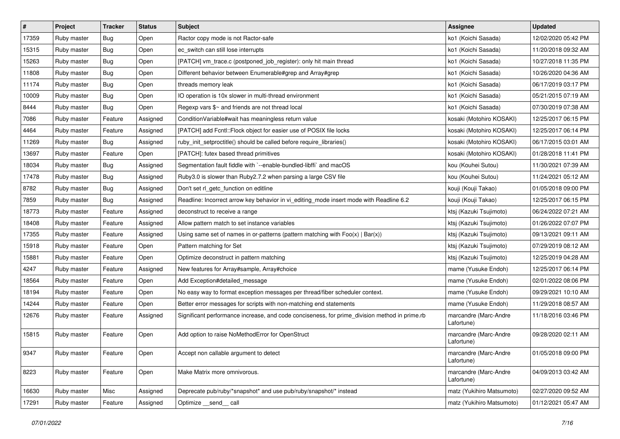| $\vert$ # | Project     | <b>Tracker</b> | <b>Status</b> | <b>Subject</b>                                                                                | <b>Assignee</b>                     | <b>Updated</b>      |
|-----------|-------------|----------------|---------------|-----------------------------------------------------------------------------------------------|-------------------------------------|---------------------|
| 17359     | Ruby master | <b>Bug</b>     | Open          | Ractor copy mode is not Ractor-safe                                                           | ko1 (Koichi Sasada)                 | 12/02/2020 05:42 PM |
| 15315     | Ruby master | Bug            | Open          | ec_switch can still lose interrupts                                                           | ko1 (Koichi Sasada)                 | 11/20/2018 09:32 AM |
| 15263     | Ruby master | Bug            | Open          | [PATCH] vm_trace.c (postponed_job_register): only hit main thread                             | ko1 (Koichi Sasada)                 | 10/27/2018 11:35 PM |
| 11808     | Ruby master | <b>Bug</b>     | Open          | Different behavior between Enumerable#grep and Array#grep                                     | ko1 (Koichi Sasada)                 | 10/26/2020 04:36 AM |
| 11174     | Ruby master | <b>Bug</b>     | Open          | threads memory leak                                                                           | ko1 (Koichi Sasada)                 | 06/17/2019 03:17 PM |
| 10009     | Ruby master | <b>Bug</b>     | Open          | IO operation is 10x slower in multi-thread environment                                        | ko1 (Koichi Sasada)                 | 05/21/2015 07:19 AM |
| 8444      | Ruby master | <b>Bug</b>     | Open          | Regexp vars \$~ and friends are not thread local                                              | ko1 (Koichi Sasada)                 | 07/30/2019 07:38 AM |
| 7086      | Ruby master | Feature        | Assigned      | Condition Variable#wait has meaningless return value                                          | kosaki (Motohiro KOSAKI)            | 12/25/2017 06:15 PM |
| 4464      | Ruby master | Feature        | Assigned      | [PATCH] add Fcntl::Flock object for easier use of POSIX file locks                            | kosaki (Motohiro KOSAKI)            | 12/25/2017 06:14 PM |
| 11269     | Ruby master | Bug            | Assigned      | ruby_init_setproctitle() should be called before require_libraries()                          | kosaki (Motohiro KOSAKI)            | 06/17/2015 03:01 AM |
| 13697     | Ruby master | Feature        | Open          | [PATCH]: futex based thread primitives                                                        | kosaki (Motohiro KOSAKI)            | 01/28/2018 11:41 PM |
| 18034     | Ruby master | Bug            | Assigned      | Segmentation fault fiddle with `--enable-bundled-libffi` and macOS                            | kou (Kouhei Sutou)                  | 11/30/2021 07:39 AM |
| 17478     | Ruby master | Bug            | Assigned      | Ruby3.0 is slower than Ruby2.7.2 when parsing a large CSV file                                | kou (Kouhei Sutou)                  | 11/24/2021 05:12 AM |
| 8782      | Ruby master | <b>Bug</b>     | Assigned      | Don't set rl_getc_function on editline                                                        | kouji (Kouji Takao)                 | 01/05/2018 09:00 PM |
| 7859      | Ruby master | Bug            | Assigned      | Readline: Incorrect arrow key behavior in vi_editing_mode insert mode with Readline 6.2       | kouji (Kouji Takao)                 | 12/25/2017 06:15 PM |
| 18773     | Ruby master | Feature        | Assigned      | deconstruct to receive a range                                                                | ktsj (Kazuki Tsujimoto)             | 06/24/2022 07:21 AM |
| 18408     | Ruby master | Feature        | Assigned      | Allow pattern match to set instance variables                                                 | ktsj (Kazuki Tsujimoto)             | 01/26/2022 07:07 PM |
| 17355     | Ruby master | Feature        | Assigned      | Using same set of names in or-patterns (pattern matching with $Foo(x)   Bar(x)$ )             | ktsj (Kazuki Tsujimoto)             | 09/13/2021 09:11 AM |
| 15918     | Ruby master | Feature        | Open          | Pattern matching for Set                                                                      | ktsj (Kazuki Tsujimoto)             | 07/29/2019 08:12 AM |
| 15881     | Ruby master | Feature        | Open          | Optimize deconstruct in pattern matching                                                      | ktsj (Kazuki Tsujimoto)             | 12/25/2019 04:28 AM |
| 4247      | Ruby master | Feature        | Assigned      | New features for Array#sample, Array#choice                                                   | mame (Yusuke Endoh)                 | 12/25/2017 06:14 PM |
| 18564     | Ruby master | Feature        | Open          | Add Exception#detailed_message                                                                | mame (Yusuke Endoh)                 | 02/01/2022 08:06 PM |
| 18194     | Ruby master | Feature        | Open          | No easy way to format exception messages per thread/fiber scheduler context.                  | mame (Yusuke Endoh)                 | 09/29/2021 10:10 AM |
| 14244     | Ruby master | Feature        | Open          | Better error messages for scripts with non-matching end statements                            | mame (Yusuke Endoh)                 | 11/29/2018 08:57 AM |
| 12676     | Ruby master | Feature        | Assigned      | Significant performance increase, and code conciseness, for prime_division method in prime.rb | marcandre (Marc-Andre<br>Lafortune) | 11/18/2016 03:46 PM |
| 15815     | Ruby master | Feature        | Open          | Add option to raise NoMethodError for OpenStruct                                              | marcandre (Marc-Andre<br>Lafortune) | 09/28/2020 02:11 AM |
| 9347      | Ruby master | Feature        | Open          | Accept non callable argument to detect                                                        | marcandre (Marc-Andre<br>Lafortune) | 01/05/2018 09:00 PM |
| 8223      | Ruby master | Feature        | Open          | Make Matrix more omnivorous.                                                                  | marcandre (Marc-Andre<br>Lafortune) | 04/09/2013 03:42 AM |
| 16630     | Ruby master | Misc           | Assigned      | Deprecate pub/ruby/*snapshot* and use pub/ruby/snapshot/* instead                             | matz (Yukihiro Matsumoto)           | 02/27/2020 09:52 AM |
| 17291     | Ruby master | Feature        | Assigned      | Optimize __send__ call                                                                        | matz (Yukihiro Matsumoto)           | 01/12/2021 05:47 AM |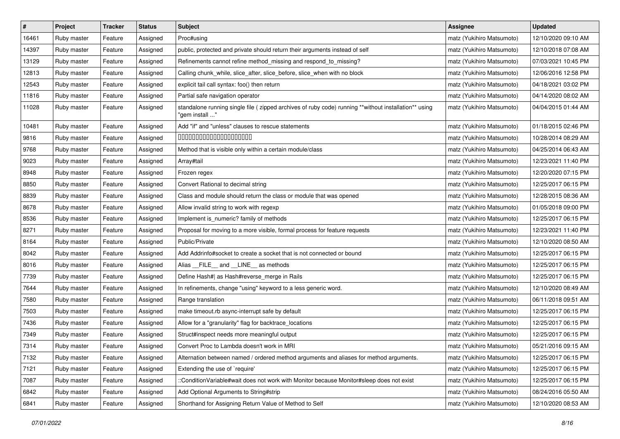| $\sharp$ | Project     | <b>Tracker</b> | <b>Status</b> | <b>Subject</b>                                                                                                         | Assignee                  | <b>Updated</b>      |
|----------|-------------|----------------|---------------|------------------------------------------------------------------------------------------------------------------------|---------------------------|---------------------|
| 16461    | Ruby master | Feature        | Assigned      | Proc#using                                                                                                             | matz (Yukihiro Matsumoto) | 12/10/2020 09:10 AM |
| 14397    | Ruby master | Feature        | Assigned      | public, protected and private should return their arguments instead of self                                            | matz (Yukihiro Matsumoto) | 12/10/2018 07:08 AM |
| 13129    | Ruby master | Feature        | Assigned      | Refinements cannot refine method_missing and respond_to_missing?                                                       | matz (Yukihiro Matsumoto) | 07/03/2021 10:45 PM |
| 12813    | Ruby master | Feature        | Assigned      | Calling chunk_while, slice_after, slice_before, slice_when with no block                                               | matz (Yukihiro Matsumoto) | 12/06/2016 12:58 PM |
| 12543    | Ruby master | Feature        | Assigned      | explicit tail call syntax: foo() then return                                                                           | matz (Yukihiro Matsumoto) | 04/18/2021 03:02 PM |
| 11816    | Ruby master | Feature        | Assigned      | Partial safe navigation operator                                                                                       | matz (Yukihiro Matsumoto) | 04/14/2020 08:02 AM |
| 11028    | Ruby master | Feature        | Assigned      | standalone running single file (zipped archives of ruby code) running **without installation** using<br>"gem install " | matz (Yukihiro Matsumoto) | 04/04/2015 01:44 AM |
| 10481    | Ruby master | Feature        | Assigned      | Add "if" and "unless" clauses to rescue statements                                                                     | matz (Yukihiro Matsumoto) | 01/18/2015 02:46 PM |
| 9816     | Ruby master | Feature        | Assigned      | 00000000000000000000                                                                                                   | matz (Yukihiro Matsumoto) | 10/28/2014 08:29 AM |
| 9768     | Ruby master | Feature        | Assigned      | Method that is visible only within a certain module/class                                                              | matz (Yukihiro Matsumoto) | 04/25/2014 06:43 AM |
| 9023     | Ruby master | Feature        | Assigned      | Array#tail                                                                                                             | matz (Yukihiro Matsumoto) | 12/23/2021 11:40 PM |
| 8948     | Ruby master | Feature        | Assigned      | Frozen regex                                                                                                           | matz (Yukihiro Matsumoto) | 12/20/2020 07:15 PM |
| 8850     | Ruby master | Feature        | Assigned      | Convert Rational to decimal string                                                                                     | matz (Yukihiro Matsumoto) | 12/25/2017 06:15 PM |
| 8839     | Ruby master | Feature        | Assigned      | Class and module should return the class or module that was opened                                                     | matz (Yukihiro Matsumoto) | 12/28/2015 08:36 AM |
| 8678     | Ruby master | Feature        | Assigned      | Allow invalid string to work with regexp                                                                               | matz (Yukihiro Matsumoto) | 01/05/2018 09:00 PM |
| 8536     | Ruby master | Feature        | Assigned      | Implement is_numeric? family of methods                                                                                | matz (Yukihiro Matsumoto) | 12/25/2017 06:15 PM |
| 8271     | Ruby master | Feature        | Assigned      | Proposal for moving to a more visible, formal process for feature requests                                             | matz (Yukihiro Matsumoto) | 12/23/2021 11:40 PM |
| 8164     | Ruby master | Feature        | Assigned      | Public/Private                                                                                                         | matz (Yukihiro Matsumoto) | 12/10/2020 08:50 AM |
| 8042     | Ruby master | Feature        | Assigned      | Add Addrinfo#socket to create a socket that is not connected or bound                                                  | matz (Yukihiro Matsumoto) | 12/25/2017 06:15 PM |
| 8016     | Ruby master | Feature        | Assigned      | Alias FILE and LINE as methods                                                                                         | matz (Yukihiro Matsumoto) | 12/25/2017 06:15 PM |
| 7739     | Ruby master | Feature        | Assigned      | Define Hash#  as Hash#reverse_merge in Rails                                                                           | matz (Yukihiro Matsumoto) | 12/25/2017 06:15 PM |
| 7644     | Ruby master | Feature        | Assigned      | In refinements, change "using" keyword to a less generic word.                                                         | matz (Yukihiro Matsumoto) | 12/10/2020 08:49 AM |
| 7580     | Ruby master | Feature        | Assigned      | Range translation                                                                                                      | matz (Yukihiro Matsumoto) | 06/11/2018 09:51 AM |
| 7503     | Ruby master | Feature        | Assigned      | make timeout.rb async-interrupt safe by default                                                                        | matz (Yukihiro Matsumoto) | 12/25/2017 06:15 PM |
| 7436     | Ruby master | Feature        | Assigned      | Allow for a "granularity" flag for backtrace_locations                                                                 | matz (Yukihiro Matsumoto) | 12/25/2017 06:15 PM |
| 7349     | Ruby master | Feature        | Assigned      | Struct#inspect needs more meaningful output                                                                            | matz (Yukihiro Matsumoto) | 12/25/2017 06:15 PM |
| 7314     | Ruby master | Feature        | Assigned      | Convert Proc to Lambda doesn't work in MRI                                                                             | matz (Yukihiro Matsumoto) | 05/21/2016 09:15 AM |
| 7132     | Ruby master | Feature        | Assigned      | Alternation between named / ordered method arguments and aliases for method arguments.                                 | matz (Yukihiro Matsumoto) | 12/25/2017 06:15 PM |
| 7121     | Ruby master | Feature        | Assigned      | Extending the use of `require'                                                                                         | matz (Yukihiro Matsumoto) | 12/25/2017 06:15 PM |
| 7087     | Ruby master | Feature        | Assigned      | ::ConditionVariable#wait does not work with Monitor because Monitor#sleep does not exist                               | matz (Yukihiro Matsumoto) | 12/25/2017 06:15 PM |
| 6842     | Ruby master | Feature        | Assigned      | Add Optional Arguments to String#strip                                                                                 | matz (Yukihiro Matsumoto) | 08/24/2016 05:50 AM |
| 6841     | Ruby master | Feature        | Assigned      | Shorthand for Assigning Return Value of Method to Self                                                                 | matz (Yukihiro Matsumoto) | 12/10/2020 08:53 AM |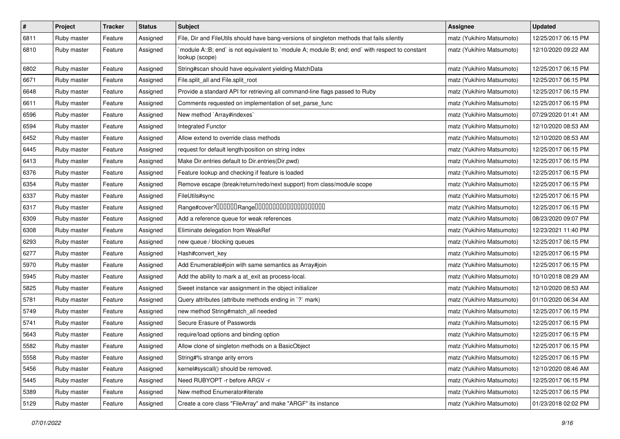| $\#$ | Project     | <b>Tracker</b> | <b>Status</b> | Subject                                                                                                          | <b>Assignee</b>           | <b>Updated</b>      |
|------|-------------|----------------|---------------|------------------------------------------------------------------------------------------------------------------|---------------------------|---------------------|
| 6811 | Ruby master | Feature        | Assigned      | File, Dir and FileUtils should have bang-versions of singleton methods that fails silently                       | matz (Yukihiro Matsumoto) | 12/25/2017 06:15 PM |
| 6810 | Ruby master | Feature        | Assigned      | module A::B; end` is not equivalent to `module A; module B; end; end` with respect to constant<br>lookup (scope) | matz (Yukihiro Matsumoto) | 12/10/2020 09:22 AM |
| 6802 | Ruby master | Feature        | Assigned      | String#scan should have equivalent yielding MatchData                                                            | matz (Yukihiro Matsumoto) | 12/25/2017 06:15 PM |
| 6671 | Ruby master | Feature        | Assigned      | File.split_all and File.split_root                                                                               | matz (Yukihiro Matsumoto) | 12/25/2017 06:15 PM |
| 6648 | Ruby master | Feature        | Assigned      | Provide a standard API for retrieving all command-line flags passed to Ruby                                      | matz (Yukihiro Matsumoto) | 12/25/2017 06:15 PM |
| 6611 | Ruby master | Feature        | Assigned      | Comments requested on implementation of set_parse_func                                                           | matz (Yukihiro Matsumoto) | 12/25/2017 06:15 PM |
| 6596 | Ruby master | Feature        | Assigned      | New method `Array#indexes`                                                                                       | matz (Yukihiro Matsumoto) | 07/29/2020 01:41 AM |
| 6594 | Ruby master | Feature        | Assigned      | Integrated Functor                                                                                               | matz (Yukihiro Matsumoto) | 12/10/2020 08:53 AM |
| 6452 | Ruby master | Feature        | Assigned      | Allow extend to override class methods                                                                           | matz (Yukihiro Matsumoto) | 12/10/2020 08:53 AM |
| 6445 | Ruby master | Feature        | Assigned      | request for default length/position on string index                                                              | matz (Yukihiro Matsumoto) | 12/25/2017 06:15 PM |
| 6413 | Ruby master | Feature        | Assigned      | Make Dir.entries default to Dir.entries(Dir.pwd)                                                                 | matz (Yukihiro Matsumoto) | 12/25/2017 06:15 PM |
| 6376 | Ruby master | Feature        | Assigned      | Feature lookup and checking if feature is loaded                                                                 | matz (Yukihiro Matsumoto) | 12/25/2017 06:15 PM |
| 6354 | Ruby master | Feature        | Assigned      | Remove escape (break/return/redo/next support) from class/module scope                                           | matz (Yukihiro Matsumoto) | 12/25/2017 06:15 PM |
| 6337 | Ruby master | Feature        | Assigned      | FileUtils#sync                                                                                                   | matz (Yukihiro Matsumoto) | 12/25/2017 06:15 PM |
| 6317 | Ruby master | Feature        | Assigned      | Range#cover?000000Range00000000000000000000                                                                      | matz (Yukihiro Matsumoto) | 12/25/2017 06:15 PM |
| 6309 | Ruby master | Feature        | Assigned      | Add a reference queue for weak references                                                                        | matz (Yukihiro Matsumoto) | 08/23/2020 09:07 PM |
| 6308 | Ruby master | Feature        | Assigned      | Eliminate delegation from WeakRef                                                                                | matz (Yukihiro Matsumoto) | 12/23/2021 11:40 PM |
| 6293 | Ruby master | Feature        | Assigned      | new queue / blocking queues                                                                                      | matz (Yukihiro Matsumoto) | 12/25/2017 06:15 PM |
| 6277 | Ruby master | Feature        | Assigned      | Hash#convert_key                                                                                                 | matz (Yukihiro Matsumoto) | 12/25/2017 06:15 PM |
| 5970 | Ruby master | Feature        | Assigned      | Add Enumerable#join with same semantics as Array#join                                                            | matz (Yukihiro Matsumoto) | 12/25/2017 06:15 PM |
| 5945 | Ruby master | Feature        | Assigned      | Add the ability to mark a at_exit as process-local.                                                              | matz (Yukihiro Matsumoto) | 10/10/2018 08:29 AM |
| 5825 | Ruby master | Feature        | Assigned      | Sweet instance var assignment in the object initializer                                                          | matz (Yukihiro Matsumoto) | 12/10/2020 08:53 AM |
| 5781 | Ruby master | Feature        | Assigned      | Query attributes (attribute methods ending in `?` mark)                                                          | matz (Yukihiro Matsumoto) | 01/10/2020 06:34 AM |
| 5749 | Ruby master | Feature        | Assigned      | new method String#match_all needed                                                                               | matz (Yukihiro Matsumoto) | 12/25/2017 06:15 PM |
| 5741 | Ruby master | Feature        | Assigned      | Secure Erasure of Passwords                                                                                      | matz (Yukihiro Matsumoto) | 12/25/2017 06:15 PM |
| 5643 | Ruby master | Feature        | Assigned      | require/load options and binding option                                                                          | matz (Yukihiro Matsumoto) | 12/25/2017 06:15 PM |
| 5582 | Ruby master | Feature        | Assigned      | Allow clone of singleton methods on a BasicObject                                                                | matz (Yukihiro Matsumoto) | 12/25/2017 06:15 PM |
| 5558 | Ruby master | Feature        | Assigned      | String#% strange arity errors                                                                                    | matz (Yukihiro Matsumoto) | 12/25/2017 06:15 PM |
| 5456 | Ruby master | Feature        | Assigned      | kernel#syscall() should be removed.                                                                              | matz (Yukihiro Matsumoto) | 12/10/2020 08:46 AM |
| 5445 | Ruby master | Feature        | Assigned      | Need RUBYOPT -r before ARGV -r                                                                                   | matz (Yukihiro Matsumoto) | 12/25/2017 06:15 PM |
| 5389 | Ruby master | Feature        | Assigned      | New method Enumerator#iterate                                                                                    | matz (Yukihiro Matsumoto) | 12/25/2017 06:15 PM |
| 5129 | Ruby master | Feature        | Assigned      | Create a core class "FileArray" and make "ARGF" its instance                                                     | matz (Yukihiro Matsumoto) | 01/23/2018 02:02 PM |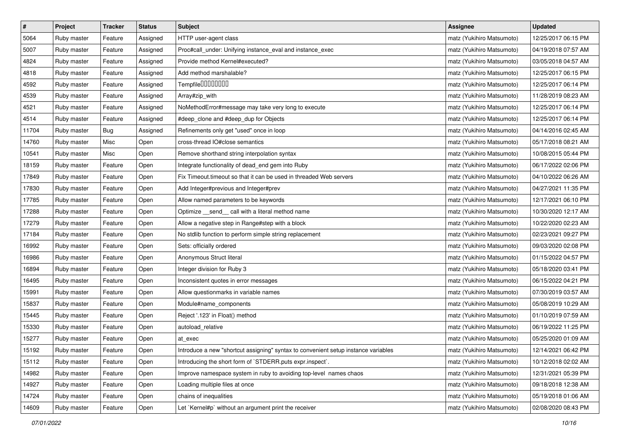| $\sharp$ | Project     | Tracker | <b>Status</b> | <b>Subject</b>                                                                     | <b>Assignee</b>           | <b>Updated</b>      |
|----------|-------------|---------|---------------|------------------------------------------------------------------------------------|---------------------------|---------------------|
| 5064     | Ruby master | Feature | Assigned      | HTTP user-agent class                                                              | matz (Yukihiro Matsumoto) | 12/25/2017 06:15 PM |
| 5007     | Ruby master | Feature | Assigned      | Proc#call_under: Unifying instance_eval and instance_exec                          | matz (Yukihiro Matsumoto) | 04/19/2018 07:57 AM |
| 4824     | Ruby master | Feature | Assigned      | Provide method Kernel#executed?                                                    | matz (Yukihiro Matsumoto) | 03/05/2018 04:57 AM |
| 4818     | Ruby master | Feature | Assigned      | Add method marshalable?                                                            | matz (Yukihiro Matsumoto) | 12/25/2017 06:15 PM |
| 4592     | Ruby master | Feature | Assigned      | Tempfile0000000                                                                    | matz (Yukihiro Matsumoto) | 12/25/2017 06:14 PM |
| 4539     | Ruby master | Feature | Assigned      | Array#zip_with                                                                     | matz (Yukihiro Matsumoto) | 11/28/2019 08:23 AM |
| 4521     | Ruby master | Feature | Assigned      | NoMethodError#message may take very long to execute                                | matz (Yukihiro Matsumoto) | 12/25/2017 06:14 PM |
| 4514     | Ruby master | Feature | Assigned      | #deep_clone and #deep_dup for Objects                                              | matz (Yukihiro Matsumoto) | 12/25/2017 06:14 PM |
| 11704    | Ruby master | Bug     | Assigned      | Refinements only get "used" once in loop                                           | matz (Yukihiro Matsumoto) | 04/14/2016 02:45 AM |
| 14760    | Ruby master | Misc    | Open          | cross-thread IO#close semantics                                                    | matz (Yukihiro Matsumoto) | 05/17/2018 08:21 AM |
| 10541    | Ruby master | Misc    | Open          | Remove shorthand string interpolation syntax                                       | matz (Yukihiro Matsumoto) | 10/08/2015 05:44 PM |
| 18159    | Ruby master | Feature | Open          | Integrate functionality of dead_end gem into Ruby                                  | matz (Yukihiro Matsumoto) | 06/17/2022 02:06 PM |
| 17849    | Ruby master | Feature | Open          | Fix Timeout.timeout so that it can be used in threaded Web servers                 | matz (Yukihiro Matsumoto) | 04/10/2022 06:26 AM |
| 17830    | Ruby master | Feature | Open          | Add Integer#previous and Integer#prev                                              | matz (Yukihiro Matsumoto) | 04/27/2021 11:35 PM |
| 17785    | Ruby master | Feature | Open          | Allow named parameters to be keywords                                              | matz (Yukihiro Matsumoto) | 12/17/2021 06:10 PM |
| 17288    | Ruby master | Feature | Open          | Optimize _send_ call with a literal method name                                    | matz (Yukihiro Matsumoto) | 10/30/2020 12:17 AM |
| 17279    | Ruby master | Feature | Open          | Allow a negative step in Range#step with a block                                   | matz (Yukihiro Matsumoto) | 10/22/2020 02:23 AM |
| 17184    | Ruby master | Feature | Open          | No stdlib function to perform simple string replacement                            | matz (Yukihiro Matsumoto) | 02/23/2021 09:27 PM |
| 16992    | Ruby master | Feature | Open          | Sets: officially ordered                                                           | matz (Yukihiro Matsumoto) | 09/03/2020 02:08 PM |
| 16986    | Ruby master | Feature | Open          | Anonymous Struct literal                                                           | matz (Yukihiro Matsumoto) | 01/15/2022 04:57 PM |
| 16894    | Ruby master | Feature | Open          | Integer division for Ruby 3                                                        | matz (Yukihiro Matsumoto) | 05/18/2020 03:41 PM |
| 16495    | Ruby master | Feature | Open          | Inconsistent quotes in error messages                                              | matz (Yukihiro Matsumoto) | 06/15/2022 04:21 PM |
| 15991    | Ruby master | Feature | Open          | Allow questionmarks in variable names                                              | matz (Yukihiro Matsumoto) | 07/30/2019 03:57 AM |
| 15837    | Ruby master | Feature | Open          | Module#name_components                                                             | matz (Yukihiro Matsumoto) | 05/08/2019 10:29 AM |
| 15445    | Ruby master | Feature | Open          | Reject '.123' in Float() method                                                    | matz (Yukihiro Matsumoto) | 01/10/2019 07:59 AM |
| 15330    | Ruby master | Feature | Open          | autoload_relative                                                                  | matz (Yukihiro Matsumoto) | 06/19/2022 11:25 PM |
| 15277    | Ruby master | Feature | Open          | at exec                                                                            | matz (Yukihiro Matsumoto) | 05/25/2020 01:09 AM |
| 15192    | Ruby master | Feature | Open          | Introduce a new "shortcut assigning" syntax to convenient setup instance variables | matz (Yukihiro Matsumoto) | 12/14/2021 06:42 PM |
| 15112    | Ruby master | Feature | Open          | Introducing the short form of `STDERR.puts expr.inspect`.                          | matz (Yukihiro Matsumoto) | 10/12/2018 02:02 AM |
| 14982    | Ruby master | Feature | Open          | Improve namespace system in ruby to avoiding top-level names chaos                 | matz (Yukihiro Matsumoto) | 12/31/2021 05:39 PM |
| 14927    | Ruby master | Feature | Open          | Loading multiple files at once                                                     | matz (Yukihiro Matsumoto) | 09/18/2018 12:38 AM |
| 14724    | Ruby master | Feature | Open          | chains of inequalities                                                             | matz (Yukihiro Matsumoto) | 05/19/2018 01:06 AM |
| 14609    | Ruby master | Feature | Open          | Let `Kernel#p` without an argument print the receiver                              | matz (Yukihiro Matsumoto) | 02/08/2020 08:43 PM |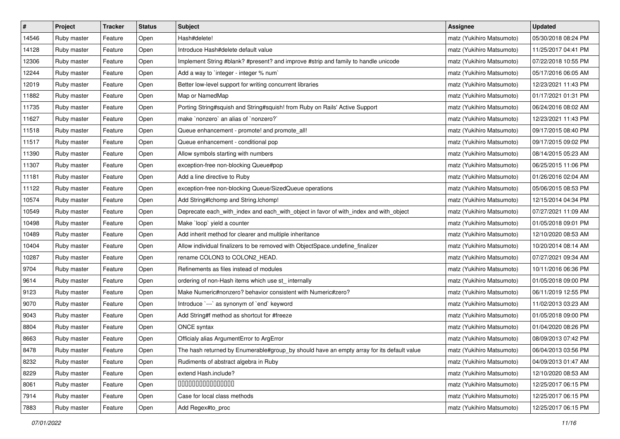| $\pmb{\#}$ | Project     | <b>Tracker</b> | <b>Status</b> | <b>Subject</b>                                                                            | <b>Assignee</b>           | <b>Updated</b>      |
|------------|-------------|----------------|---------------|-------------------------------------------------------------------------------------------|---------------------------|---------------------|
| 14546      | Ruby master | Feature        | Open          | Hash#delete!                                                                              | matz (Yukihiro Matsumoto) | 05/30/2018 08:24 PM |
| 14128      | Ruby master | Feature        | Open          | Introduce Hash#delete default value                                                       | matz (Yukihiro Matsumoto) | 11/25/2017 04:41 PM |
| 12306      | Ruby master | Feature        | Open          | Implement String #blank? #present? and improve #strip and family to handle unicode        | matz (Yukihiro Matsumoto) | 07/22/2018 10:55 PM |
| 12244      | Ruby master | Feature        | Open          | Add a way to 'integer - integer % num'                                                    | matz (Yukihiro Matsumoto) | 05/17/2016 06:05 AM |
| 12019      | Ruby master | Feature        | Open          | Better low-level support for writing concurrent libraries                                 | matz (Yukihiro Matsumoto) | 12/23/2021 11:43 PM |
| 11882      | Ruby master | Feature        | Open          | Map or NamedMap                                                                           | matz (Yukihiro Matsumoto) | 01/17/2021 01:31 PM |
| 11735      | Ruby master | Feature        | Open          | Porting String#squish and String#squish! from Ruby on Rails' Active Support               | matz (Yukihiro Matsumoto) | 06/24/2016 08:02 AM |
| 11627      | Ruby master | Feature        | Open          | make `nonzero` an alias of `nonzero?`                                                     | matz (Yukihiro Matsumoto) | 12/23/2021 11:43 PM |
| 11518      | Ruby master | Feature        | Open          | Queue enhancement - promote! and promote_all!                                             | matz (Yukihiro Matsumoto) | 09/17/2015 08:40 PM |
| 11517      | Ruby master | Feature        | Open          | Queue enhancement - conditional pop                                                       | matz (Yukihiro Matsumoto) | 09/17/2015 09:02 PM |
| 11390      | Ruby master | Feature        | Open          | Allow symbols starting with numbers                                                       | matz (Yukihiro Matsumoto) | 08/14/2015 05:23 AM |
| 11307      | Ruby master | Feature        | Open          | exception-free non-blocking Queue#pop                                                     | matz (Yukihiro Matsumoto) | 06/25/2015 11:06 PM |
| 11181      | Ruby master | Feature        | Open          | Add a line directive to Ruby                                                              | matz (Yukihiro Matsumoto) | 01/26/2016 02:04 AM |
| 11122      | Ruby master | Feature        | Open          | exception-free non-blocking Queue/SizedQueue operations                                   | matz (Yukihiro Matsumoto) | 05/06/2015 08:53 PM |
| 10574      | Ruby master | Feature        | Open          | Add String#Ichomp and String.Ichomp!                                                      | matz (Yukihiro Matsumoto) | 12/15/2014 04:34 PM |
| 10549      | Ruby master | Feature        | Open          | Deprecate each_with_index and each_with_object in favor of with_index and with_object     | matz (Yukihiro Matsumoto) | 07/27/2021 11:09 AM |
| 10498      | Ruby master | Feature        | Open          | Make `loop` yield a counter                                                               | matz (Yukihiro Matsumoto) | 01/05/2018 09:01 PM |
| 10489      | Ruby master | Feature        | Open          | Add inherit method for clearer and multiple inheritance                                   | matz (Yukihiro Matsumoto) | 12/10/2020 08:53 AM |
| 10404      | Ruby master | Feature        | Open          | Allow individual finalizers to be removed with ObjectSpace.undefine_finalizer             | matz (Yukihiro Matsumoto) | 10/20/2014 08:14 AM |
| 10287      | Ruby master | Feature        | Open          | rename COLON3 to COLON2_HEAD.                                                             | matz (Yukihiro Matsumoto) | 07/27/2021 09:34 AM |
| 9704       | Ruby master | Feature        | Open          | Refinements as files instead of modules                                                   | matz (Yukihiro Matsumoto) | 10/11/2016 06:36 PM |
| 9614       | Ruby master | Feature        | Open          | ordering of non-Hash items which use st_ internally                                       | matz (Yukihiro Matsumoto) | 01/05/2018 09:00 PM |
| 9123       | Ruby master | Feature        | Open          | Make Numeric#nonzero? behavior consistent with Numeric#zero?                              | matz (Yukihiro Matsumoto) | 06/11/2019 12:55 PM |
| 9070       | Ruby master | Feature        | Open          | Introduce `---` as synonym of `end` keyword                                               | matz (Yukihiro Matsumoto) | 11/02/2013 03:23 AM |
| 9043       | Ruby master | Feature        | Open          | Add String#f method as shortcut for #freeze                                               | matz (Yukihiro Matsumoto) | 01/05/2018 09:00 PM |
| 8804       | Ruby master | Feature        | Open          | ONCE syntax                                                                               | matz (Yukihiro Matsumoto) | 01/04/2020 08:26 PM |
| 8663       | Ruby master | Feature        | Open          | Officialy alias ArgumentError to ArgError                                                 | matz (Yukihiro Matsumoto) | 08/09/2013 07:42 PM |
| 8478       | Ruby master | Feature        | Open          | The hash returned by Enumerable#group_by should have an empty array for its default value | matz (Yukihiro Matsumoto) | 06/04/2013 03:56 PM |
| 8232       | Ruby master | Feature        | Open          | Rudiments of abstract algebra in Ruby                                                     | matz (Yukihiro Matsumoto) | 04/09/2013 01:47 AM |
| 8229       | Ruby master | Feature        | Open          | extend Hash.include?                                                                      | matz (Yukihiro Matsumoto) | 12/10/2020 08:53 AM |
| 8061       | Ruby master | Feature        | Open          | 000000000000000                                                                           | matz (Yukihiro Matsumoto) | 12/25/2017 06:15 PM |
| 7914       | Ruby master | Feature        | Open          | Case for local class methods                                                              | matz (Yukihiro Matsumoto) | 12/25/2017 06:15 PM |
| 7883       | Ruby master | Feature        | Open          | Add Regex#to_proc                                                                         | matz (Yukihiro Matsumoto) | 12/25/2017 06:15 PM |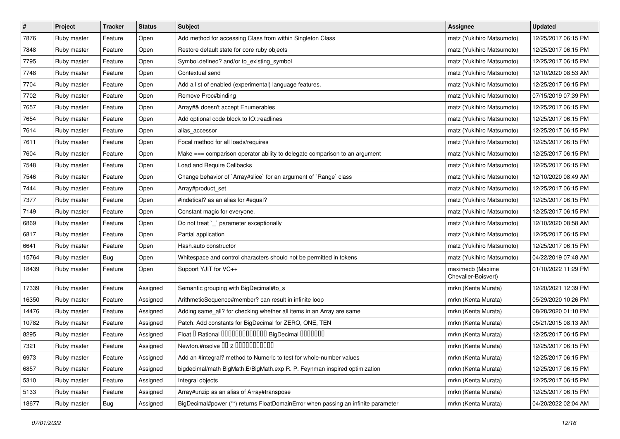| #     | Project     | <b>Tracker</b> | <b>Status</b> | <b>Subject</b>                                                                    | Assignee                                | <b>Updated</b>      |
|-------|-------------|----------------|---------------|-----------------------------------------------------------------------------------|-----------------------------------------|---------------------|
| 7876  | Ruby master | Feature        | Open          | Add method for accessing Class from within Singleton Class                        | matz (Yukihiro Matsumoto)               | 12/25/2017 06:15 PM |
| 7848  | Ruby master | Feature        | Open          | Restore default state for core ruby objects                                       | matz (Yukihiro Matsumoto)               | 12/25/2017 06:15 PM |
| 7795  | Ruby master | Feature        | Open          | Symbol.defined? and/or to_existing_symbol                                         | matz (Yukihiro Matsumoto)               | 12/25/2017 06:15 PM |
| 7748  | Ruby master | Feature        | Open          | Contextual send                                                                   | matz (Yukihiro Matsumoto)               | 12/10/2020 08:53 AM |
| 7704  | Ruby master | Feature        | Open          | Add a list of enabled (experimental) language features.                           | matz (Yukihiro Matsumoto)               | 12/25/2017 06:15 PM |
| 7702  | Ruby master | Feature        | Open          | Remove Proc#binding                                                               | matz (Yukihiro Matsumoto)               | 07/15/2019 07:39 PM |
| 7657  | Ruby master | Feature        | Open          | Array#& doesn't accept Enumerables                                                | matz (Yukihiro Matsumoto)               | 12/25/2017 06:15 PM |
| 7654  | Ruby master | Feature        | Open          | Add optional code block to IO::readlines                                          | matz (Yukihiro Matsumoto)               | 12/25/2017 06:15 PM |
| 7614  | Ruby master | Feature        | Open          | alias_accessor                                                                    | matz (Yukihiro Matsumoto)               | 12/25/2017 06:15 PM |
| 7611  | Ruby master | Feature        | Open          | Focal method for all loads/requires                                               | matz (Yukihiro Matsumoto)               | 12/25/2017 06:15 PM |
| 7604  | Ruby master | Feature        | Open          | Make === comparison operator ability to delegate comparison to an argument        | matz (Yukihiro Matsumoto)               | 12/25/2017 06:15 PM |
| 7548  | Ruby master | Feature        | Open          | <b>Load and Require Callbacks</b>                                                 | matz (Yukihiro Matsumoto)               | 12/25/2017 06:15 PM |
| 7546  | Ruby master | Feature        | Open          | Change behavior of `Array#slice` for an argument of `Range` class                 | matz (Yukihiro Matsumoto)               | 12/10/2020 08:49 AM |
| 7444  | Ruby master | Feature        | Open          | Array#product_set                                                                 | matz (Yukihiro Matsumoto)               | 12/25/2017 06:15 PM |
| 7377  | Ruby master | Feature        | Open          | #indetical? as an alias for #equal?                                               | matz (Yukihiro Matsumoto)               | 12/25/2017 06:15 PM |
| 7149  | Ruby master | Feature        | Open          | Constant magic for everyone.                                                      | matz (Yukihiro Matsumoto)               | 12/25/2017 06:15 PM |
| 6869  | Ruby master | Feature        | Open          | Do not treat `_` parameter exceptionally                                          | matz (Yukihiro Matsumoto)               | 12/10/2020 08:58 AM |
| 6817  | Ruby master | Feature        | Open          | Partial application                                                               | matz (Yukihiro Matsumoto)               | 12/25/2017 06:15 PM |
| 6641  | Ruby master | Feature        | Open          | Hash.auto constructor                                                             | matz (Yukihiro Matsumoto)               | 12/25/2017 06:15 PM |
| 15764 | Ruby master | Bug            | Open          | Whitespace and control characters should not be permitted in tokens               | matz (Yukihiro Matsumoto)               | 04/22/2019 07:48 AM |
| 18439 | Ruby master | Feature        | Open          | Support YJIT for VC++                                                             | maximecb (Maxime<br>Chevalier-Boisvert) | 01/10/2022 11:29 PM |
| 17339 | Ruby master | Feature        | Assigned      | Semantic grouping with BigDecimal#to_s                                            | mrkn (Kenta Murata)                     | 12/20/2021 12:39 PM |
| 16350 | Ruby master | Feature        | Assigned      | ArithmeticSequence#member? can result in infinite loop                            | mrkn (Kenta Murata)                     | 05/29/2020 10:26 PM |
| 14476 | Ruby master | Feature        | Assigned      | Adding same_all? for checking whether all items in an Array are same              | mrkn (Kenta Murata)                     | 08/28/2020 01:10 PM |
| 10782 | Ruby master | Feature        | Assigned      | Patch: Add constants for BigDecimal for ZERO, ONE, TEN                            | mrkn (Kenta Murata)                     | 05/21/2015 08:13 AM |
| 8295  | Ruby master | Feature        | Assigned      | Float I Rational 0000000000000 BigDecimal 0000000                                 | mrkn (Kenta Murata)                     | 12/25/2017 06:15 PM |
| 7321  | Ruby master | Feature        | Assigned      | Newton.#nsolve 00 2 0000000000                                                    | mrkn (Kenta Murata)                     | 12/25/2017 06:15 PM |
| 6973  | Ruby master | Feature        | Assigned      | Add an #integral? method to Numeric to test for whole-number values               | mrkn (Kenta Murata)                     | 12/25/2017 06:15 PM |
| 6857  | Ruby master | Feature        | Assigned      | bigdecimal/math BigMath.E/BigMath.exp R. P. Feynman inspired optimization         | mrkn (Kenta Murata)                     | 12/25/2017 06:15 PM |
| 5310  | Ruby master | Feature        | Assigned      | Integral objects                                                                  | mrkn (Kenta Murata)                     | 12/25/2017 06:15 PM |
| 5133  | Ruby master | Feature        | Assigned      | Array#unzip as an alias of Array#transpose                                        | mrkn (Kenta Murata)                     | 12/25/2017 06:15 PM |
| 18677 | Ruby master | <b>Bug</b>     | Assigned      | BigDecimal#power (**) returns FloatDomainError when passing an infinite parameter | mrkn (Kenta Murata)                     | 04/20/2022 02:04 AM |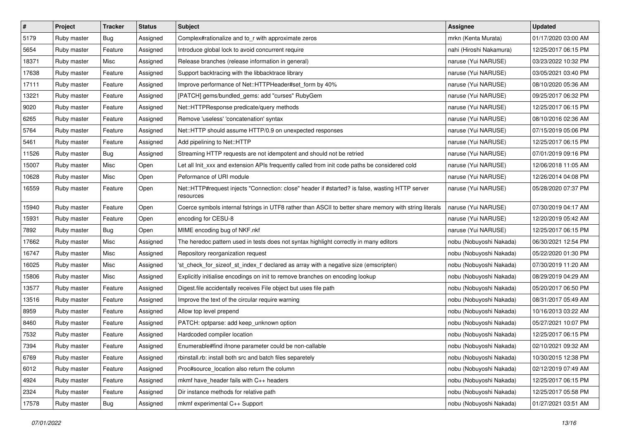| $\pmb{\#}$ | Project     | <b>Tracker</b> | <b>Status</b> | <b>Subject</b>                                                                                               | <b>Assignee</b>         | <b>Updated</b>      |
|------------|-------------|----------------|---------------|--------------------------------------------------------------------------------------------------------------|-------------------------|---------------------|
| 5179       | Ruby master | <b>Bug</b>     | Assigned      | Complex#rationalize and to_r with approximate zeros                                                          | mrkn (Kenta Murata)     | 01/17/2020 03:00 AM |
| 5654       | Ruby master | Feature        | Assigned      | Introduce global lock to avoid concurrent require                                                            | nahi (Hiroshi Nakamura) | 12/25/2017 06:15 PM |
| 18371      | Ruby master | Misc           | Assigned      | Release branches (release information in general)                                                            | naruse (Yui NARUSE)     | 03/23/2022 10:32 PM |
| 17638      | Ruby master | Feature        | Assigned      | Support backtracing with the libbacktrace library                                                            | naruse (Yui NARUSE)     | 03/05/2021 03:40 PM |
| 17111      | Ruby master | Feature        | Assigned      | Improve performance of Net::HTTPHeader#set_form by 40%                                                       | naruse (Yui NARUSE)     | 08/10/2020 05:36 AM |
| 13221      | Ruby master | Feature        | Assigned      | [PATCH] gems/bundled_gems: add "curses" RubyGem                                                              | naruse (Yui NARUSE)     | 09/25/2017 06:32 PM |
| 9020       | Ruby master | Feature        | Assigned      | Net::HTTPResponse predicate/query methods                                                                    | naruse (Yui NARUSE)     | 12/25/2017 06:15 PM |
| 6265       | Ruby master | Feature        | Assigned      | Remove 'useless' 'concatenation' syntax                                                                      | naruse (Yui NARUSE)     | 08/10/2016 02:36 AM |
| 5764       | Ruby master | Feature        | Assigned      | Net::HTTP should assume HTTP/0.9 on unexpected responses                                                     | naruse (Yui NARUSE)     | 07/15/2019 05:06 PM |
| 5461       | Ruby master | Feature        | Assigned      | Add pipelining to Net::HTTP                                                                                  | naruse (Yui NARUSE)     | 12/25/2017 06:15 PM |
| 11526      | Ruby master | <b>Bug</b>     | Assigned      | Streaming HTTP requests are not idempotent and should not be retried                                         | naruse (Yui NARUSE)     | 07/01/2019 09:16 PM |
| 15007      | Ruby master | Misc           | Open          | Let all Init_xxx and extension APIs frequently called from init code paths be considered cold                | naruse (Yui NARUSE)     | 12/06/2018 11:05 AM |
| 10628      | Ruby master | Misc           | Open          | Peformance of URI module                                                                                     | naruse (Yui NARUSE)     | 12/26/2014 04:08 PM |
| 16559      | Ruby master | Feature        | Open          | Net::HTTP#request injects "Connection: close" header if #started? is false, wasting HTTP server<br>resources | naruse (Yui NARUSE)     | 05/28/2020 07:37 PM |
| 15940      | Ruby master | Feature        | Open          | Coerce symbols internal fstrings in UTF8 rather than ASCII to better share memory with string literals       | naruse (Yui NARUSE)     | 07/30/2019 04:17 AM |
| 15931      | Ruby master | Feature        | Open          | encoding for CESU-8                                                                                          | naruse (Yui NARUSE)     | 12/20/2019 05:42 AM |
| 7892       | Ruby master | Bug            | Open          | MIME encoding bug of NKF.nkf                                                                                 | naruse (Yui NARUSE)     | 12/25/2017 06:15 PM |
| 17662      | Ruby master | Misc           | Assigned      | The heredoc pattern used in tests does not syntax highlight correctly in many editors                        | nobu (Nobuyoshi Nakada) | 06/30/2021 12:54 PM |
| 16747      | Ruby master | Misc           | Assigned      | Repository reorganization request                                                                            | nobu (Nobuyoshi Nakada) | 05/22/2020 01:30 PM |
| 16025      | Ruby master | Misc           | Assigned      | 'st_check_for_sizeof_st_index_t' declared as array with a negative size (emscripten)                         | nobu (Nobuyoshi Nakada) | 07/30/2019 11:20 AM |
| 15806      | Ruby master | Misc           | Assigned      | Explicitly initialise encodings on init to remove branches on encoding lookup                                | nobu (Nobuyoshi Nakada) | 08/29/2019 04:29 AM |
| 13577      | Ruby master | Feature        | Assigned      | Digest file accidentally receives File object but uses file path                                             | nobu (Nobuyoshi Nakada) | 05/20/2017 06:50 PM |
| 13516      | Ruby master | Feature        | Assigned      | Improve the text of the circular require warning                                                             | nobu (Nobuyoshi Nakada) | 08/31/2017 05:49 AM |
| 8959       | Ruby master | Feature        | Assigned      | Allow top level prepend                                                                                      | nobu (Nobuyoshi Nakada) | 10/16/2013 03:22 AM |
| 8460       | Ruby master | Feature        | Assigned      | PATCH: optparse: add keep_unknown option                                                                     | nobu (Nobuyoshi Nakada) | 05/27/2021 10:07 PM |
| 7532       | Ruby master | Feature        | Assigned      | Hardcoded compiler location                                                                                  | nobu (Nobuyoshi Nakada) | 12/25/2017 06:15 PM |
| 7394       | Ruby master | Feature        | Assigned      | Enumerable#find ifnone parameter could be non-callable                                                       | nobu (Nobuyoshi Nakada) | 02/10/2021 09:32 AM |
| 6769       | Ruby master | Feature        | Assigned      | rbinstall.rb: install both src and batch files separetely                                                    | nobu (Nobuyoshi Nakada) | 10/30/2015 12:38 PM |
| 6012       | Ruby master | Feature        | Assigned      | Proc#source_location also return the column                                                                  | nobu (Nobuyoshi Nakada) | 02/12/2019 07:49 AM |
| 4924       | Ruby master | Feature        | Assigned      | mkmf have_header fails with C++ headers                                                                      | nobu (Nobuyoshi Nakada) | 12/25/2017 06:15 PM |
| 2324       | Ruby master | Feature        | Assigned      | Dir instance methods for relative path                                                                       | nobu (Nobuyoshi Nakada) | 12/25/2017 05:58 PM |
| 17578      | Ruby master | <b>Bug</b>     | Assigned      | mkmf experimental C++ Support                                                                                | nobu (Nobuyoshi Nakada) | 01/27/2021 03:51 AM |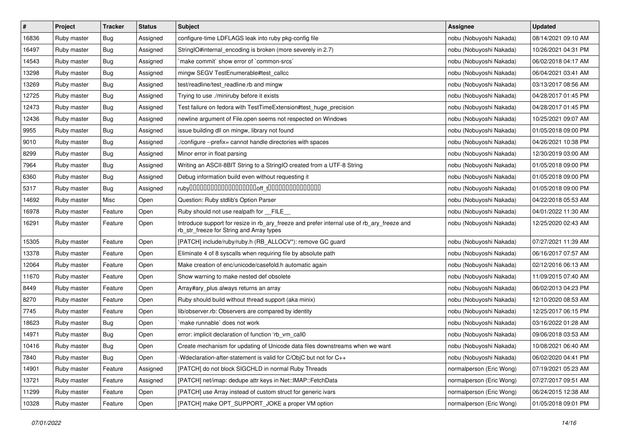| $\pmb{\#}$ | Project     | <b>Tracker</b> | <b>Status</b> | <b>Subject</b>                                                                                                                         | Assignee                 | <b>Updated</b>      |
|------------|-------------|----------------|---------------|----------------------------------------------------------------------------------------------------------------------------------------|--------------------------|---------------------|
| 16836      | Ruby master | <b>Bug</b>     | Assigned      | configure-time LDFLAGS leak into ruby pkg-config file                                                                                  | nobu (Nobuyoshi Nakada)  | 08/14/2021 09:10 AM |
| 16497      | Ruby master | <b>Bug</b>     | Assigned      | StringIO#internal_encoding is broken (more severely in 2.7)                                                                            | nobu (Nobuyoshi Nakada)  | 10/26/2021 04:31 PM |
| 14543      | Ruby master | <b>Bug</b>     | Assigned      | 'make commit' show error of 'common-srcs'                                                                                              | nobu (Nobuyoshi Nakada)  | 06/02/2018 04:17 AM |
| 13298      | Ruby master | Bug            | Assigned      | mingw SEGV TestEnumerable#test_callcc                                                                                                  | nobu (Nobuyoshi Nakada)  | 06/04/2021 03:41 AM |
| 13269      | Ruby master | <b>Bug</b>     | Assigned      | test/readline/test_readline.rb and mingw                                                                                               | nobu (Nobuyoshi Nakada)  | 03/13/2017 08:56 AM |
| 12725      | Ruby master | Bug            | Assigned      | Trying to use ./miniruby before it exists                                                                                              | nobu (Nobuyoshi Nakada)  | 04/28/2017 01:45 PM |
| 12473      | Ruby master | <b>Bug</b>     | Assigned      | Test failure on fedora with TestTimeExtension#test_huge_precision                                                                      | nobu (Nobuyoshi Nakada)  | 04/28/2017 01:45 PM |
| 12436      | Ruby master | <b>Bug</b>     | Assigned      | newline argument of File.open seems not respected on Windows                                                                           | nobu (Nobuyoshi Nakada)  | 10/25/2021 09:07 AM |
| 9955       | Ruby master | <b>Bug</b>     | Assigned      | issue building dll on mingw, library not found                                                                                         | nobu (Nobuyoshi Nakada)  | 01/05/2018 09:00 PM |
| 9010       | Ruby master | Bug            | Assigned      | ./configure --prefix= cannot handle directories with spaces                                                                            | nobu (Nobuyoshi Nakada)  | 04/26/2021 10:38 PM |
| 8299       | Ruby master | <b>Bug</b>     | Assigned      | Minor error in float parsing                                                                                                           | nobu (Nobuyoshi Nakada)  | 12/30/2019 03:00 AM |
| 7964       | Ruby master | <b>Bug</b>     | Assigned      | Writing an ASCII-8BIT String to a StringIO created from a UTF-8 String                                                                 | nobu (Nobuyoshi Nakada)  | 01/05/2018 09:00 PM |
| 6360       | Ruby master | <b>Bug</b>     | Assigned      | Debug information build even without requesting it                                                                                     | nobu (Nobuyoshi Nakada)  | 01/05/2018 09:00 PM |
| 5317       | Ruby master | <b>Bug</b>     | Assigned      |                                                                                                                                        | nobu (Nobuyoshi Nakada)  | 01/05/2018 09:00 PM |
| 14692      | Ruby master | Misc           | Open          | Question: Ruby stdlib's Option Parser                                                                                                  | nobu (Nobuyoshi Nakada)  | 04/22/2018 05:53 AM |
| 16978      | Ruby master | Feature        | Open          | Ruby should not use realpath for FILE                                                                                                  | nobu (Nobuyoshi Nakada)  | 04/01/2022 11:30 AM |
| 16291      | Ruby master | Feature        | Open          | Introduce support for resize in rb_ary_freeze and prefer internal use of rb_ary_freeze and<br>rb_str_freeze for String and Array types | nobu (Nobuyoshi Nakada)  | 12/25/2020 02:43 AM |
| 15305      | Ruby master | Feature        | Open          | [PATCH] include/ruby/ruby.h (RB_ALLOCV*): remove GC guard                                                                              | nobu (Nobuyoshi Nakada)  | 07/27/2021 11:39 AM |
| 13378      | Ruby master | Feature        | Open          | Eliminate 4 of 8 syscalls when requiring file by absolute path                                                                         | nobu (Nobuyoshi Nakada)  | 06/16/2017 07:57 AM |
| 12064      | Ruby master | Feature        | Open          | Make creation of enc/unicode/casefold.h automatic again                                                                                | nobu (Nobuyoshi Nakada)  | 02/12/2016 06:13 AM |
| 11670      | Ruby master | Feature        | Open          | Show warning to make nested def obsolete                                                                                               | nobu (Nobuyoshi Nakada)  | 11/09/2015 07:40 AM |
| 8449       | Ruby master | Feature        | Open          | Array#ary_plus always returns an array                                                                                                 | nobu (Nobuyoshi Nakada)  | 06/02/2013 04:23 PM |
| 8270       | Ruby master | Feature        | Open          | Ruby should build without thread support (aka minix)                                                                                   | nobu (Nobuyoshi Nakada)  | 12/10/2020 08:53 AM |
| 7745       | Ruby master | Feature        | Open          | lib/observer.rb: Observers are compared by identity                                                                                    | nobu (Nobuyoshi Nakada)  | 12/25/2017 06:15 PM |
| 18623      | Ruby master | <b>Bug</b>     | Open          | make runnable' does not work                                                                                                           | nobu (Nobuyoshi Nakada)  | 03/16/2022 01:28 AM |
| 14971      | Ruby master | <b>Bug</b>     | Open          | error: implicit declaration of function 'rb vm call0                                                                                   | nobu (Nobuyoshi Nakada)  | 09/06/2018 03:53 AM |
| 10416      | Ruby master | <b>Bug</b>     | Open          | Create mechanism for updating of Unicode data files downstreams when we want                                                           | nobu (Nobuyoshi Nakada)  | 10/08/2021 06:40 AM |
| 7840       | Ruby master | <b>Bug</b>     | Open          | -Wdeclaration-after-statement is valid for C/ObjC but not for C++                                                                      | nobu (Nobuyoshi Nakada)  | 06/02/2020 04:41 PM |
| 14901      | Ruby master | Feature        | Assigned      | [PATCH] do not block SIGCHLD in normal Ruby Threads                                                                                    | normalperson (Eric Wong) | 07/19/2021 05:23 AM |
| 13721      | Ruby master | Feature        | Assigned      | [PATCH] net/imap: dedupe attr keys in Net::IMAP::FetchData                                                                             | normalperson (Eric Wong) | 07/27/2017 09:51 AM |
| 11299      | Ruby master | Feature        | Open          | [PATCH] use Array instead of custom struct for generic ivars                                                                           | normalperson (Eric Wong) | 06/24/2015 12:38 AM |
| 10328      | Ruby master | Feature        | Open          | [PATCH] make OPT_SUPPORT_JOKE a proper VM option                                                                                       | normalperson (Eric Wong) | 01/05/2018 09:01 PM |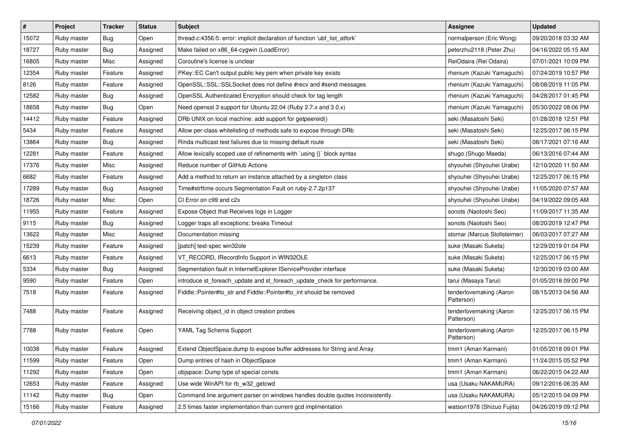| $\vert$ # | Project     | Tracker    | <b>Status</b> | <b>Subject</b>                                                                | <b>Assignee</b>                       | <b>Updated</b>      |
|-----------|-------------|------------|---------------|-------------------------------------------------------------------------------|---------------------------------------|---------------------|
| 15072     | Ruby master | <b>Bug</b> | Open          | thread.c:4356:5: error: implicit declaration of function 'ubf_list_atfork'    | normalperson (Eric Wong)              | 09/20/2018 03:32 AM |
| 18727     | Ruby master | Bug        | Assigned      | Make failed on x86_64-cygwin (LoadError)                                      | peterzhu2118 (Peter Zhu)              | 04/16/2022 05:15 AM |
| 16805     | Ruby master | Misc       | Assigned      | Coroutine's license is unclear                                                | ReiOdaira (Rei Odaira)                | 07/01/2021 10:09 PM |
| 12354     | Ruby master | Feature    | Assigned      | PKey::EC Can't output public key pem when private key exists                  | rhenium (Kazuki Yamaguchi)            | 07/24/2019 10:57 PM |
| 8126      | Ruby master | Feature    | Assigned      | OpenSSL::SSL::SSLSocket does not define #recv and #send messages              | rhenium (Kazuki Yamaguchi)            | 08/08/2019 11:05 PM |
| 12582     | Ruby master | <b>Bug</b> | Assigned      | OpenSSL Authenticated Encryption should check for tag length                  | rhenium (Kazuki Yamaguchi)            | 04/28/2017 01:45 PM |
| 18658     | Ruby master | <b>Bug</b> | Open          | Need openssl 3 support for Ubuntu 22.04 (Ruby 2.7.x and 3.0.x)                | rhenium (Kazuki Yamaguchi)            | 05/30/2022 08:06 PM |
| 14412     | Ruby master | Feature    | Assigned      | DRb UNIX on local machine: add support for getpeereid()                       | seki (Masatoshi Seki)                 | 01/28/2018 12:51 PM |
| 5434      | Ruby master | Feature    | Assigned      | Allow per-class whitelisting of methods safe to expose through DRb            | seki (Masatoshi Seki)                 | 12/25/2017 06:15 PM |
| 13864     | Ruby master | Bug        | Assigned      | Rinda multicast test failures due to missing default route                    | seki (Masatoshi Seki)                 | 08/17/2021 07:16 AM |
| 12281     | Ruby master | Feature    | Assigned      | Allow lexically scoped use of refinements with `using {}` block syntax        | shugo (Shugo Maeda)                   | 06/13/2016 07:44 AM |
| 17376     | Ruby master | Misc       | Assigned      | Reduce number of GitHub Actions                                               | shyouhei (Shyouhei Urabe)             | 12/10/2020 11:50 AM |
| 6682      | Ruby master | Feature    | Assigned      | Add a method to return an instance attached by a singleton class              | shyouhei (Shyouhei Urabe)             | 12/25/2017 06:15 PM |
| 17289     | Ruby master | <b>Bug</b> | Assigned      | Time#strftime occurs Segmentation Fault on ruby-2.7.2p137                     | shyouhei (Shyouhei Urabe)             | 11/05/2020 07:57 AM |
| 18726     | Ruby master | Misc       | Open          | CI Error on c99 and c2x                                                       | shyouhei (Shyouhei Urabe)             | 04/19/2022 09:05 AM |
| 11955     | Ruby master | Feature    | Assigned      | Expose Object that Receives logs in Logger                                    | sonots (Naotoshi Seo)                 | 11/09/2017 11:35 AM |
| 9115      | Ruby master | Bug        | Assigned      | Logger traps all exceptions; breaks Timeout                                   | sonots (Naotoshi Seo)                 | 08/20/2019 12:47 PM |
| 13622     | Ruby master | Misc       | Assigned      | Documentation missing                                                         | stomar (Marcus Stollsteimer)          | 06/03/2017 07:27 AM |
| 15239     | Ruby master | Feature    | Assigned      | [patch] test-spec win32ole                                                    | suke (Masaki Suketa)                  | 12/29/2019 01:04 PM |
| 6613      | Ruby master | Feature    | Assigned      | VT_RECORD, IRecordInfo Support in WIN32OLE                                    | suke (Masaki Suketa)                  | 12/25/2017 06:15 PM |
| 5334      | Ruby master | <b>Bug</b> | Assigned      | Segmentation fault in InternetExplorer IServiceProvider interface             | suke (Masaki Suketa)                  | 12/30/2019 03:00 AM |
| 9590      | Ruby master | Feature    | Open          | introduce st_foreach_update and st_foreach_update_check for performance.      | tarui (Masaya Tarui)                  | 01/05/2018 09:00 PM |
| 7518      | Ruby master | Feature    | Assigned      | Fiddle::Pointer#to_str and Fiddle::Pointer#to_int should be removed           | tenderlovemaking (Aaron<br>Patterson) | 08/15/2013 04:56 AM |
| 7488      | Ruby master | Feature    | Assigned      | Receiving object_id in object creation probes                                 | tenderlovemaking (Aaron<br>Patterson) | 12/25/2017 06:15 PM |
| 7788      | Ruby master | Feature    | Open          | YAML Tag Schema Support                                                       | tenderlovemaking (Aaron<br>Patterson) | 12/25/2017 06:15 PM |
| 10038     | Ruby master | Feature    | Assigned      | Extend ObjectSpace.dump to expose buffer addresses for String and Array       | tmm1 (Aman Karmani)                   | 01/05/2018 09:01 PM |
| 11599     | Ruby master | Feature    | Open          | Dump entries of hash in ObjectSpace                                           | tmm1 (Aman Karmani)                   | 11/24/2015 05:52 PM |
| 11292     | Ruby master | Feature    | Open          | objspace: Dump type of special consts                                         | tmm1 (Aman Karmani)                   | 06/22/2015 04:22 AM |
| 12653     | Ruby master | Feature    | Assigned      | Use wide WinAPI for rb_w32_getcwd                                             | usa (Usaku NAKAMURA)                  | 09/12/2016 06:35 AM |
| 11142     | Ruby master | <b>Bug</b> | Open          | Command line argument parser on windows handles double quotes inconsistently. | usa (Usaku NAKAMURA)                  | 05/12/2015 04:09 PM |
| 15166     | Ruby master | Feature    | Assigned      | 2.5 times faster implementation than current gcd implmentation                | watson1978 (Shizuo Fujita)            | 04/26/2019 09:12 PM |